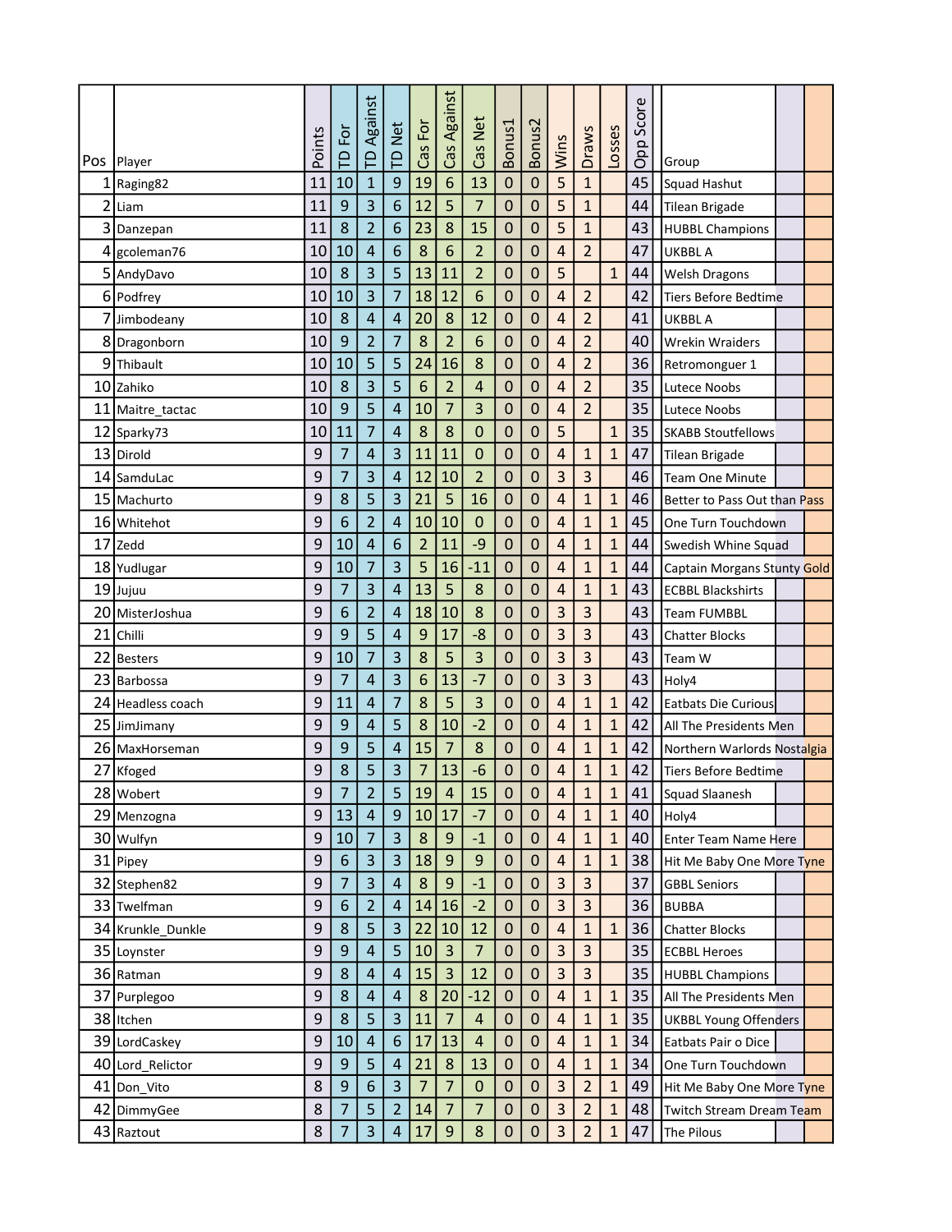|                   |        | F                | Against        |                         |                | Cas Against    |                |                |                  |                         |                         |              | Score |                              |  |  |
|-------------------|--------|------------------|----------------|-------------------------|----------------|----------------|----------------|----------------|------------------|-------------------------|-------------------------|--------------|-------|------------------------------|--|--|
| Pos   Player      | Points | $\mathsf{P}$     | $\mathsf{P}$   | <b>TD Net</b>           | Cas For        |                | Cas Net        | Bonus1         | Bonus2           | <b>Wins</b>             | <b>Draws</b>            | Losses       | Opp   | Group                        |  |  |
| $1$ Raging82      | 11     | 10               | $\mathbf{1}$   | 9                       | 19             | 6              | 13             | $\mathbf 0$    | $\pmb{0}$        | 5                       | $\mathbf{1}$            |              | 45    | Squad Hashut                 |  |  |
| $2$ Liam          | 11     | 9                | 3              | 6                       | 12             | 5              | $\overline{7}$ | $\overline{0}$ | $\mathbf 0$      | 5                       | $\mathbf{1}$            |              | 44    | Tilean Brigade               |  |  |
| 3 Danzepan        | 11     | 8                | $\overline{2}$ | 6                       | 23             | 8              | 15             | $\mathbf 0$    | 0                | 5                       | $\mathbf{1}$            |              | 43    | <b>HUBBL Champions</b>       |  |  |
| 4 gcoleman76      | 10     | 10               | $\overline{4}$ | 6                       | 8              | 6              | $\overline{2}$ | $\mathbf 0$    | $\mathbf 0$      | 4                       | $\overline{2}$          |              | 47    | UKBBL A                      |  |  |
| 5 AndyDavo        | 10     | 8                | 3              | 5                       | 13             | 11             | $\overline{2}$ | 0              | 0                | 5                       |                         | $\mathbf{1}$ | 44    | <b>Welsh Dragons</b>         |  |  |
| 6 Podfrey         | 10     | 10               | 3              | $\overline{7}$          | 18             | 12             | 6              | $\mathbf 0$    | 0                | 4                       | $\overline{2}$          |              | 42    | Tiers Before Bedtime         |  |  |
| 7 Jimbodeany      | 10     | 8                | 4              | 4                       | 20             | 8              | 12             | $\mathbf 0$    | 0                | $\overline{4}$          | $\overline{2}$          |              | 41    | <b>UKBBL A</b>               |  |  |
| 8 Dragonborn      | 10     | 9                | $\overline{2}$ | 7                       | 8              | $\overline{2}$ | 6              | $\mathbf 0$    | 0                | 4                       | $\overline{2}$          |              | 40    | <b>Wrekin Wraiders</b>       |  |  |
| 9Thibault         | 10     | 10               | 5              | 5                       | 24             | 16             | 8              | $\mathbf 0$    | $\mathbf 0$      | 4                       | $\overline{2}$          |              | 36    | Retromonguer 1               |  |  |
| 10 Zahiko         | 10     | 8                | 3              | 5                       | 6              | $\overline{2}$ | 4              | $\mathbf 0$    | 0                | 4                       | $\overline{2}$          |              | 35    | <b>Lutece Noobs</b>          |  |  |
| 11 Maitre_tactac  | 10     | 9                | 5              | $\sqrt{4}$              | 10             | $\overline{7}$ | 3              | $\mathbf 0$    | 0                | $\sqrt{4}$              | $\overline{2}$          |              | 35    | Lutece Noobs                 |  |  |
| 12 Sparky73       | 10     | 11               | 7              | 4                       | 8              | 8              | 0              | 0              | $\pmb{0}$        | 5                       |                         | $\mathbf{1}$ | 35    | <b>SKABB Stoutfellows</b>    |  |  |
| 13 Dirold         | 9      | $\overline{7}$   | 4              | 3                       | 11             | 11             | $\mathbf 0$    | $\mathbf 0$    | $\pmb{0}$        | $\overline{\mathbf{r}}$ | 1                       | 1            | 47    | Tilean Brigade               |  |  |
| 14 SamduLac       | 9      | 7                | 3              | 4                       | 12             | 10             | $\overline{2}$ | $\mathbf 0$    | $\mathbf 0$      | 3                       | 3                       |              | 46    | <b>Team One Minute</b>       |  |  |
| 15 Machurto       | 9      | 8                | 5              | 3                       | 21             | 5              | 16             | $\mathbf 0$    | 0                | 4                       | $\mathbf{1}$            | $\mathbf{1}$ | 46    | Better to Pass Out than Pass |  |  |
| 16 Whitehot       | 9      | 6                | $\overline{2}$ | 4                       | 10             | 10             | $\mathbf 0$    | $\mathbf 0$    | $\mathbf 0$      | $\overline{4}$          | $\mathbf{1}$            | $\mathbf{1}$ | 45    | One Turn Touchdown           |  |  |
| 17 Zedd           | 9      | 10               | $\overline{4}$ | 6                       | $\overline{2}$ | 11             | -9             | $\mathbf 0$    | 0                | 4                       | $\mathbf{1}$            | $\mathbf{1}$ | 44    | Swedish Whine Squad          |  |  |
| 18 Yudlugar       | 9      | 10               | $\overline{7}$ | 3                       | 5              | 16             | $-11$          | $\mathbf 0$    | 0                | 4                       | $\mathbf{1}$            | $\mathbf{1}$ | 44    | Captain Morgans Stunty Gold  |  |  |
| 19 Jujuu          | 9      | $\overline{7}$   | 3              | 4                       | 13             | 5              | 8              | $\mathbf 0$    | $\mathbf 0$      | $\overline{\mathbf{r}}$ | $\mathbf{1}$            | $\mathbf{1}$ | 43    | <b>ECBBL Blackshirts</b>     |  |  |
| 20 MisterJoshua   | 9      | 6                | $\overline{2}$ | 4                       | 18             | 10             | 8              | $\mathbf 0$    | $\mathbf 0$      | 3                       | 3                       |              | 43    | <b>Team FUMBBL</b>           |  |  |
| 21 Chilli         | 9      | 9                | 5              | 4                       | 9              | 17             | $-8$           | $\mathbf 0$    | $\mathbf 0$      | 3                       | 3                       |              | 43    | <b>Chatter Blocks</b>        |  |  |
| 22 Besters        | 9      | 10               | 7              | 3                       | 8              | 5              | 3              | $\mathbf 0$    | 0                | 3                       | 3                       |              | 43    | Team W                       |  |  |
| 23 Barbossa       | 9      | $\overline{7}$   | 4              | 3                       | 6              | 13             | $-7$           | $\mathbf 0$    | $\mathbf 0$      | 3                       | 3                       |              | 43    | Holy4                        |  |  |
| 24 Headless coach | 9      | 11               | 4              | 7                       | 8              | 5              | 3              | 0              | 0                | 4                       | $\mathbf{1}$            | $\mathbf{1}$ | 42    | <b>Eatbats Die Curious</b>   |  |  |
| 25 JimJimany      | 9      | 9                | 4              | 5                       | 8              | 10             | $-2$           | $\mathbf 0$    | 0                | $\overline{\mathbf{r}}$ | 1                       | $\mathbf{1}$ | 42    | All The Presidents Men       |  |  |
| 26 MaxHorseman    | 9      | 9                | 5              | 4                       | 15             | 7              | 8              | $\mathbf 0$    | 0                | 4                       | $\mathbf{1}$            | $\mathbf{1}$ | 42    | Northern Warlords Nostalgia  |  |  |
| 27 Kfoged         | 9      | 8                | 5              | 3                       | $\overline{7}$ | 13             | $-6$           | 0              | 0                | 4                       | $\mathbf{1}$            | $\mathbf{1}$ | 42    | <b>Tiers Before Bedtime</b>  |  |  |
| 28 Wobert         | 9      | 7                | $\overline{2}$ | 5                       | 19             | 4              | 15             | 0              | 0                | 4                       | 1                       | 1            | 41    | Squad Slaanesh               |  |  |
| 29 Menzogna       | 9      | 13               | $\overline{4}$ | $\boldsymbol{9}$        | 10             | 17             | $-7$           | $\mathbf 0$    | $\boldsymbol{0}$ | $\sqrt{4}$              | $\mathbf{1}$            | $\mathbf{1}$ | 40    | Holy4                        |  |  |
| 30 Wulfyn         | 9      | 10               | $\overline{7}$ | $\overline{\mathbf{3}}$ | $\bf 8$        | 9              | $-1$           | $\mathbf 0$    | $\pmb{0}$        | $\sqrt{4}$              | $\mathbf{1}$            | $\mathbf 1$  | 40    | Enter Team Name Here         |  |  |
| 31 Pipey          | 9      | $\boldsymbol{6}$ | $\overline{3}$ | $\overline{3}$          | 18             | 9              | $9\,$          | $\bf 0$        | $\pmb{0}$        | $\overline{4}$          | $\mathbf{1}$            | $\mathbf{1}$ | 38    | Hit Me Baby One More Tyne    |  |  |
| 32 Stephen82      | 9      | $\overline{7}$   | 3              | $\overline{\mathbf{r}}$ | 8              | 9              | $-1$           | $\bf 0$        | $\pmb{0}$        | 3                       | 3                       |              | 37    | <b>GBBL Seniors</b>          |  |  |
| 33 Twelfman       | 9      | $6\,$            | $\overline{2}$ | $\overline{4}$          | 14             | 16             | $-2$           | $\mathbf 0$    | $\mathbf 0$      | 3                       | $\overline{\mathbf{3}}$ |              | 36    | <b>BUBBA</b>                 |  |  |
| 34 Krunkle_Dunkle | 9      | 8                | 5              | 3                       | 22             | 10             | 12             | $\bf 0$        | 0                | $\overline{4}$          | $\mathbf{1}$            | $\mathbf{1}$ | 36    | <b>Chatter Blocks</b>        |  |  |
| 35 Loynster       | 9      | 9                | $\overline{4}$ | 5                       | 10             | 3              | $\overline{7}$ | $\mathbf 0$    | $\mathbf 0$      | $\overline{3}$          | 3                       |              | 35    | <b>ECBBL Heroes</b>          |  |  |
| 36 Ratman         | 9      | 8                | 4              | $\overline{4}$          | 15             | 3              | 12             | $\bf 0$        | 0                | 3                       | $\overline{\mathbf{3}}$ |              | 35    | <b>HUBBL Champions</b>       |  |  |
| 37 Purplegoo      | 9      | 8                | $\overline{4}$ | 4                       | 8              | 20             | $-12$          | $\bf 0$        | $\pmb{0}$        | $\sqrt{4}$              | 1                       | $\mathbf{1}$ | 35    | All The Presidents Men       |  |  |
| 38 Itchen         | 9      | 8                | 5              | $\overline{3}$          | 11             | $\overline{7}$ | $\overline{4}$ | $\bf 0$        | $\pmb{0}$        | $\sqrt{4}$              | $\mathbf{1}$            | $\mathbf{1}$ | 35    | <b>UKBBL Young Offenders</b> |  |  |
| 39 LordCaskey     | 9      | 10               | $\overline{4}$ | $\boldsymbol{6}$        | 17             | 13             | $\overline{4}$ | $\mathbf 0$    | $\pmb{0}$        | $\sqrt{4}$              | $\mathbf{1}$            | 1            | 34    | Eatbats Pair o Dice          |  |  |
| 40 Lord_Relictor  | 9      | $\overline{9}$   | 5              | $\overline{4}$          | 21             | $\bf 8$        | 13             | $\mathbf 0$    | $\mathbf 0$      | $\overline{\mathbf{r}}$ | $\mathbf{1}$            | $\mathbf{1}$ | 34    | One Turn Touchdown           |  |  |
| 41 Don_Vito       | 8      | 9                | 6              | $\overline{3}$          | $\overline{7}$ | 7              | $\mathbf 0$    | $\mathbf 0$    | 0                | $\overline{3}$          | $\overline{2}$          | 1            | 49    | Hit Me Baby One More Tyne    |  |  |
| 42 DimmyGee       | 8      | $\overline{7}$   | 5              | $\overline{2}$          | 14             | $\overline{7}$ | $\overline{7}$ | $\mathbf 0$    | $\boldsymbol{0}$ | $\overline{3}$          | $\overline{2}$          | $\mathbf{1}$ | 48    | Twitch Stream Dream Team     |  |  |
| 43 Raztout        | 8      | 7                | 3              | $\overline{4}$          | 17             | 9              | $\bf 8$        | $\pmb{0}$      | 0                | 3                       | $\overline{2}$          | 1            | 47    | The Pilous                   |  |  |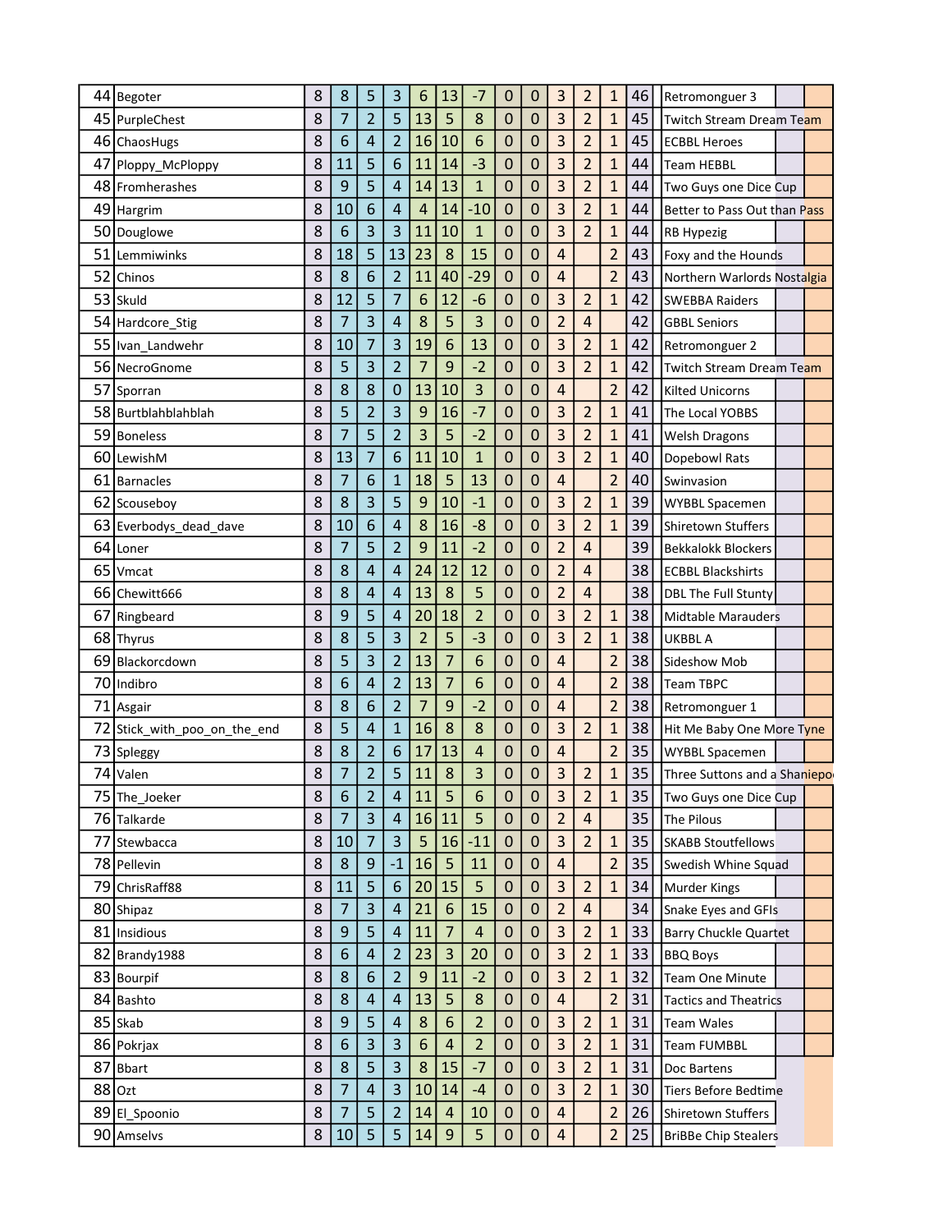|    | 44 Begoter                | 8 | 8              | 5                       | 3                       | 6                | 13             | -7             | 0                | 0                | 3                       | 2                       | $\mathbf{1}$   | 46 | Retromonguer 3                |  |
|----|---------------------------|---|----------------|-------------------------|-------------------------|------------------|----------------|----------------|------------------|------------------|-------------------------|-------------------------|----------------|----|-------------------------------|--|
|    | 45 PurpleChest            | 8 | $\overline{7}$ | $\overline{2}$          | 5                       | 13               | 5              | 8              | $\mathbf 0$      | 0                | $\overline{3}$          | $\overline{2}$          | $\mathbf{1}$   | 45 | Twitch Stream Dream Team      |  |
|    | 46 ChaosHugs              | 8 | 6              | 4                       | $\overline{2}$          | 16               | 10             | 6              | $\pmb{0}$        | 0                | 3                       | 2                       | 1              | 45 | <b>ECBBL Heroes</b>           |  |
| 47 | Ploppy_McPloppy           | 8 | 11             | 5                       | 6                       | 11               | 14             | $-3$           | $\mathbf 0$      | 0                | 3                       | 2                       | $\mathbf{1}$   | 44 | <b>Team HEBBL</b>             |  |
|    | 48 Fromherashes           | 8 | 9              | 5                       | 4                       | 14               | 13             | $\overline{1}$ | $\mathbf 0$      | 0                | 3                       | $\overline{2}$          | $\mathbf{1}$   | 44 | Two Guys one Dice Cup         |  |
|    | 49 Hargrim                | 8 | 10             | 6                       | 4                       | 4                | 14             | $-10$          | $\mathbf 0$      | 0                | 3                       | $\overline{2}$          | $\mathbf{1}$   | 44 | Better to Pass Out than Pass  |  |
|    | 50 Douglowe               | 8 | 6              | 3                       | 3                       | 11               | 10             | $\mathbf{1}$   | $\mathbf 0$      | 0                | 3                       | $\overline{2}$          | $\mathbf{1}$   | 44 | <b>RB Hypezig</b>             |  |
| 51 | Lemmiwinks                | 8 | 18             | 5                       | 13                      | 23               | 8              | 15             | $\mathbf 0$      | 0                | 4                       |                         | $\overline{c}$ | 43 | Foxy and the Hounds           |  |
| 52 | Chinos                    | 8 | 8              | 6                       | $\overline{2}$          | 11               | 40             | $-29$          | $\mathbf 0$      | 0                | 4                       |                         | $\overline{2}$ | 43 | Northern Warlords Nostalgia   |  |
|    | 53 Skuld                  | 8 | 12             | 5                       | $\overline{7}$          | 6                | 12             | $-6$           | $\mathbf 0$      | $\mathbf 0$      | 3                       | $\overline{a}$          | $\mathbf{1}$   | 42 | <b>SWEBBA Raiders</b>         |  |
|    | 54 Hardcore_Stig          | 8 | 7              | 3                       | 4                       | 8                | 5              | 3              | $\mathbf 0$      | 0                | $\overline{2}$          | $\overline{\mathbf{r}}$ |                | 42 | <b>GBBL Seniors</b>           |  |
|    | 55   Ivan_Landwehr        | 8 | 10             | $\overline{7}$          | 3                       | 19               | 6              | 13             | $\mathbf 0$      | $\mathbf 0$      | 3                       | $\overline{2}$          | $\mathbf{1}$   | 42 | Retromonguer 2                |  |
|    | 56 NecroGnome             | 8 | 5              | 3                       | $\overline{2}$          | 7                | 9              | $-2$           | $\mathbf 0$      | 0                | 3                       | $\overline{2}$          | 1              | 42 | Twitch Stream Dream Team      |  |
|    | 57 Sporran                | 8 | 8              | 8                       | 0                       | 13               | 10             | 3              | $\mathbf 0$      | 0                | 4                       |                         | $\overline{2}$ | 42 | <b>Kilted Unicorns</b>        |  |
|    | 58 Burtblahblahblah       | 8 | 5              | $\overline{2}$          | 3                       | 9                | 16             | $-7$           | $\pmb{0}$        | 0                | 3                       | 2                       | $\mathbf{1}$   | 41 | The Local YOBBS               |  |
| 59 | Boneless                  | 8 | 7              | 5                       | $\overline{2}$          | 3                | 5              | $-2$           | $\mathbf 0$      | 0                | 3                       | $\overline{2}$          | $\mathbf{1}$   | 41 | Welsh Dragons                 |  |
|    | 60 LewishM                | 8 | 13             | $\overline{7}$          | 6                       | 11               | 10             | $\overline{1}$ | $\mathbf 0$      | $\overline{0}$   | 3                       | $\overline{2}$          | $\mathbf{1}$   | 40 | Dopebowl Rats                 |  |
| 61 | <b>Barnacles</b>          | 8 | 7              | 6                       | $\overline{1}$          | 18               | 5              | 13             | $\mathbf 0$      | 0                | 4                       |                         | $\overline{2}$ | 40 | Swinvasion                    |  |
|    | 62 Scouseboy              | 8 | 8              | 3                       | 5                       | 9                | 10             | $-1$           | $\mathbf 0$      | $\mathbf 0$      | 3                       | $\overline{2}$          | $\mathbf{1}$   | 39 | <b>WYBBL Spacemen</b>         |  |
| 63 | Everbodys_dead_dave       | 8 | 10             | 6                       | 4                       | 8                | 16             | $-8$           | $\mathbf 0$      | 0                | 3                       | $\overline{2}$          | $\mathbf{1}$   | 39 | <b>Shiretown Stuffers</b>     |  |
| 64 | Loner                     | 8 | $\overline{7}$ | 5                       | $\overline{2}$          | 9                | 11             | $-2$           | $\mathbf 0$      | 0                | $\overline{2}$          | $\sqrt{4}$              |                | 39 | <b>Bekkalokk Blockers</b>     |  |
| 65 | Vmcat                     | 8 | 8              | 4                       | 4                       | 24               | 12             | 12             | $\boldsymbol{0}$ | 0                | $\overline{2}$          | 4                       |                | 38 | <b>ECBBL Blackshirts</b>      |  |
| 66 | Chewitt666                | 8 | 8              | 4                       | 4                       | 13               | 8              | 5              | $\mathbf 0$      | 0                | $\overline{2}$          | 4                       |                | 38 | <b>DBL The Full Stunty</b>    |  |
|    | 67 Ringbeard              | 8 | 9              | 5                       | $\overline{4}$          | 20               | 18             | $\overline{2}$ | $\mathbf 0$      | $\mathbf 0$      | 3                       | $\overline{2}$          | $\mathbf{1}$   | 38 | <b>Midtable Marauders</b>     |  |
|    | 68 Thyrus                 | 8 | 8              | 5                       | 3                       | $\overline{2}$   | 5              | $-3$           | $\mathbf 0$      | 0                | 3                       | 2                       | $\mathbf{1}$   | 38 | <b>UKBBL A</b>                |  |
| 69 | Blackorcdown              | 8 | 5              | 3                       | $\overline{2}$          | 13               | 7              | 6              | $\mathbf 0$      | 0                | 4                       |                         | $\overline{2}$ | 38 | Sideshow Mob                  |  |
|    | 70 Indibro                | 8 | 6              | 4                       | $\overline{2}$          | 13               | 7              | 6              | 0                | 0                | 4                       |                         | $\overline{c}$ | 38 | <b>Team TBPC</b>              |  |
|    | 71 Asgair                 | 8 | 8              | 6                       | $\overline{2}$          | 7                | 9              | $-2$           | $\boldsymbol{0}$ | 0                | 4                       |                         | $\overline{c}$ | 38 | Retromonguer 1                |  |
| 72 | Stick_with_poo_on_the_end | 8 | 5              | 4                       | $\overline{1}$          | 16               | 8              | 8              | $\mathbf 0$      | $\mathbf 0$      | 3                       | 2                       | $\mathbf{1}$   | 38 | Hit Me Baby One More Tyne     |  |
|    | 73 Spleggy                | 8 | 8              | $\overline{c}$          | 6                       | 17               | 13             | 4              | 0                | 0                | 4                       |                         | $\overline{2}$ | 35 | <b>WYBBL Spacemen</b>         |  |
|    | 74 Valen                  | 8 | 7              | $\overline{2}$          | 5                       | 11               | 8              | 3              | 0                | 0                | 3                       | $\overline{2}$          | $\mathbf{1}$   | 35 | Three Suttons and a Shaniepor |  |
|    | 75 The_Joeker             | 8 | 6              | $\overline{2}$          | 4                       | 11               | 5              | 6              | 0                | $\mathbf 0$      | 3                       | $\overline{\mathbf{c}}$ | 1              | 35 | Two Guys one Dice Cup         |  |
|    | 76 Talkarde               | 8 | $\overline{7}$ | $\overline{\mathbf{3}}$ | $\overline{a}$          | 16               | 11             | 5              | $\mathbf 0$      | $\mathbf 0$      | $\overline{2}$          | $\overline{4}$          |                | 35 | The Pilous                    |  |
| 77 | Stewbacca                 | 8 | 10             | $\overline{7}$          | $\overline{\mathbf{3}}$ | 5                | 16             | $-11$          | 0                | $\mathbf{0}$     | $\overline{\mathbf{3}}$ | 2                       | $\mathbf{1}$   | 35 | <b>SKABB Stoutfellows</b>     |  |
|    | 78 Pellevin               | 8 | 8              | 9                       | $-1$                    | 16               | 5              | 11             | $\pmb{0}$        | $\mathbf 0$      | $\overline{\mathbf{r}}$ |                         | $\overline{2}$ | 35 | Swedish Whine Squad           |  |
|    | 79 ChrisRaff88            | 8 | 11             | 5                       | $6\phantom{1}6$         | 20               | 15             | 5              | $\boldsymbol{0}$ | $\mathbf 0$      | 3                       | $\overline{c}$          | $\mathbf 1$    | 34 | Murder Kings                  |  |
|    | 80 Shipaz                 | 8 | $\overline{7}$ | 3                       | $\overline{4}$          | 21               | 6              | 15             | $\pmb{0}$        | $\mathbf 0$      | $\overline{2}$          | $\overline{4}$          |                | 34 | Snake Eyes and GFIs           |  |
|    | 81 Insidious              | 8 | 9              | 5                       | $\overline{4}$          | 11               | $\overline{7}$ | $\overline{4}$ | $\mathbf 0$      | $\mathbf 0$      | 3                       | $\overline{c}$          | $\mathbf{1}$   | 33 | <b>Barry Chuckle Quartet</b>  |  |
|    | 82 Brandy 1988            | 8 | 6              | $\overline{4}$          | $\overline{2}$          | 23               | 3              | 20             | $\pmb{0}$        | $\mathbf 0$      | 3                       | 2                       | $\mathbf{1}$   | 33 | <b>BBQ Boys</b>               |  |
|    | 83 Bourpif                | 8 | 8              | 6                       | $\overline{2}$          | 9                | 11             | $-2$           | $\boldsymbol{0}$ | $\mathbf 0$      | 3                       | 2                       | $\mathbf{1}$   | 32 | Team One Minute               |  |
|    | 84 Bashto                 | 8 | 8              | $\overline{\mathbf{r}}$ | $\overline{4}$          | 13               | 5              | 8              | 0                | $\mathbf{0}$     | $\overline{\mathbf{r}}$ |                         | $\overline{c}$ | 31 | <b>Tactics and Theatrics</b>  |  |
|    | 85 Skab                   | 8 | 9              | 5                       | $\overline{4}$          | $\bf 8$          | 6              | $\overline{2}$ | $\pmb{0}$        | $\mathbf 0$      | 3                       | $\overline{2}$          | $\mathbf{1}$   | 31 | <b>Team Wales</b>             |  |
|    | 86 Pokrjax                | 8 | 6              | 3                       | 3                       | $\boldsymbol{6}$ | $\sqrt{4}$     | $\overline{2}$ | $\mathbf 0$      | $\mathbf 0$      | 3                       | $\overline{c}$          | $\mathbf{1}$   | 31 | <b>Team FUMBBL</b>            |  |
|    | 87 Bbart                  | 8 | 8              | 5                       | 3                       | 8                | 15             | $-7$           | $\pmb{0}$        | $\mathbf 0$      | 3                       | $\overline{\mathbf{c}}$ | $\mathbf{1}$   | 31 | Doc Bartens                   |  |
|    | $88$ Ozt                  | 8 | $\overline{7}$ | $\overline{4}$          | $\overline{\mathbf{3}}$ | 10               | 14             | $-4$           | $\boldsymbol{0}$ | $\mathbf 0$      | 3                       | $\overline{2}$          | $\mathbf{1}$   | 30 | <b>Tiers Before Bedtime</b>   |  |
|    | 89 El_Spoonio             | 8 | 7              | 5                       | $\overline{c}$          | 14               | $\overline{a}$ | 10             | $\pmb{0}$        | $\boldsymbol{0}$ | $\overline{\mathbf{r}}$ |                         | $\overline{a}$ | 26 | Shiretown Stuffers            |  |
|    | 90 Amselvs                | 8 | 10             | 5                       | 5                       | $14\,$           | $\overline{9}$ | 5              | $\pmb{0}$        | $\pmb{0}$        | $\overline{\mathbf{r}}$ |                         | $\overline{2}$ | 25 | <b>BriBBe Chip Stealers</b>   |  |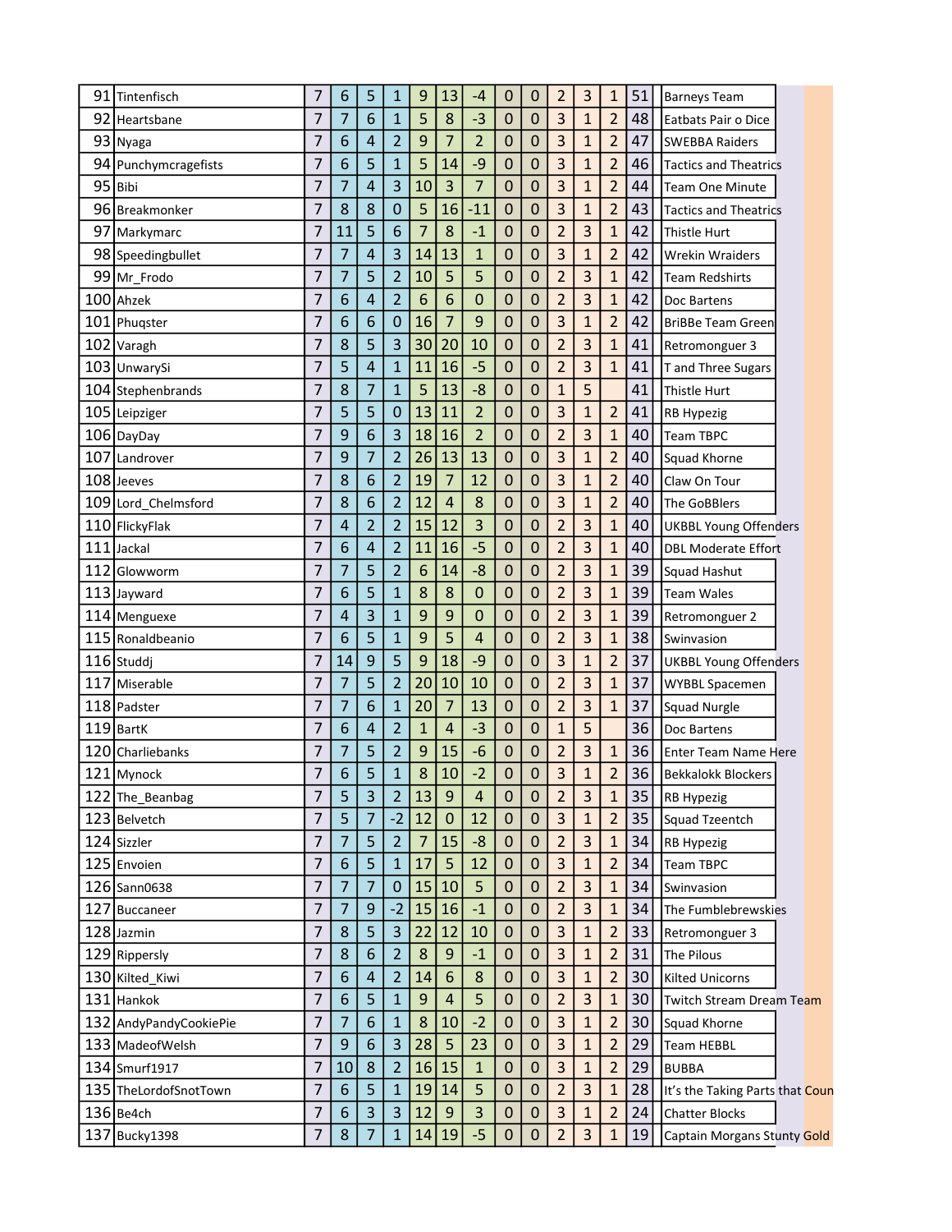| 5<br>13<br>$\overline{2}$<br>6<br>9<br>0<br>0<br>7<br>1<br>91<br>Tintenfisch<br>-4                                                       | 3              | 51<br>1              | <b>Barneys Team</b>             |
|------------------------------------------------------------------------------------------------------------------------------------------|----------------|----------------------|---------------------------------|
| 5<br>$\overline{3}$<br>6<br>8<br>$-3$<br>7<br>7<br>$\mathbf{1}$<br>0<br>0<br>92 Heartsbane                                               | $\mathbf{1}$   | $\overline{2}$<br>48 | Eatbats Pair o Dice             |
| 3<br>$\overline{2}$<br>9<br>7<br>$\overline{2}$<br>93 Nyaga<br>7<br>6<br>4<br>0<br>0                                                     | $\mathbf{1}$   | $\overline{c}$<br>47 | <b>SWEBBA Raiders</b>           |
| 3<br>7<br>6<br>5<br>5<br>$-9$<br>$\mathbf{1}$<br>14<br>0<br>0<br>94 Punchymcragefists                                                    | 1              | $\overline{2}$<br>46 | <b>Tactics and Theatrics</b>    |
| 3<br>3<br>$\overline{7}$<br>3<br>95 Bibi<br>7<br>7<br>4<br>10<br>0<br>0                                                                  | $\mathbf{1}$   | $\overline{2}$<br>44 | <b>Team One Minute</b>          |
| 3<br>5<br>7<br>8<br>8<br>0<br>16<br>$-11$<br>0<br>96 Breakmonker<br>0                                                                    | $\mathbf{1}$   | $\overline{2}$<br>43 | <b>Tactics and Theatrics</b>    |
| 5<br>6<br>$\overline{7}$<br>8<br>$\overline{2}$<br>$\overline{0}$<br>7<br>11<br>$-1$<br>0<br>97 Markymarc                                | 3              | $\mathbf{1}$<br>42   | Thistle Hurt                    |
| 3<br>3<br>4<br>13<br>$\mathbf{1}$<br>0<br>7<br>7<br>14<br>0<br>98 Speedingbullet                                                         | $\mathbf{1}$   | $\overline{2}$<br>42 | <b>Wrekin Wraiders</b>          |
| 5<br>5<br>$\overline{2}$<br>7<br>7<br>5<br>$\overline{2}$<br>10<br>0<br>99 Mr_Frodo<br>0                                                 | 3              | $\mathbf{1}$<br>42   | <b>Team Redshirts</b>           |
| 6<br>$\overline{2}$<br>$\overline{2}$<br>6<br>100 Ahzek<br>7<br>6<br>4<br>0<br>0<br>0                                                    | 3              | $\mathbf{1}$<br>42   | Doc Bartens                     |
| $\overline{7}$<br>3<br>7<br>6<br>6<br>$\pmb{0}$<br>16<br>9<br>0<br>0<br>101 Phuqster                                                     | $\mathbf{1}$   | $\overline{2}$<br>42 | BriBBe Team Green               |
| $\overline{2}$<br>3<br>8<br>5<br>30<br>0<br>7<br>20<br>10<br>0<br>102 Varagh                                                             | 3              | $\overline{1}$<br>41 | Retromonguer 3                  |
| $\overline{2}$<br>5<br>7<br>4<br>11<br>16<br>$-5$<br>0<br>103 UnwarySi<br>$\mathbf{1}$<br>0                                              | 3              | 41<br>$\mathbf{1}$   | T and Three Sugars              |
| 5<br>8<br>7<br>$\mathbf{1}$<br>13<br>$-8$<br>$\overline{0}$<br>7<br>0<br>$\mathbf{1}$<br>104 Stephenbrands                               | 5              | 41                   | Thistle Hurt                    |
| 5<br>5<br>$\overline{2}$<br>3<br>7<br>0<br>0<br>13<br>11<br>0<br>105 Leipziger                                                           | $\mathbf{1}$   | $\overline{2}$<br>41 | <b>RB Hypezig</b>               |
| 3<br>$\overline{2}$<br>$\overline{2}$<br>7<br>9<br>6<br>18<br>16<br>0<br>106 DayDay<br>0                                                 | 3              | $\mathbf{1}$<br>40   | <b>Team TBPC</b>                |
| 3<br>7<br>$\overline{2}$<br>0<br>7<br>9<br>26<br>13<br>13<br>0<br>107 Landrover                                                          | 1              | $\overline{2}$<br>40 | Squad Khorne                    |
| 3<br>7<br>$\overline{2}$<br>$\overline{7}$<br>108 Jeeves<br>8<br>6<br>19<br>12<br>0<br>0                                                 | $\overline{1}$ | $\overline{2}$<br>40 | Claw On Tour                    |
| $\overline{2}$<br>3<br>8<br>6<br>$\overline{4}$<br>$\overline{0}$<br>7<br>12<br>8<br>0<br>109 Lord_Chelmsford                            | $\mathbf{1}$   | $\overline{2}$<br>40 | The GoBBlers                    |
| $\overline{2}$<br>$\overline{2}$<br>3<br>$\overline{2}$<br>15<br>12<br>0<br>7<br>4<br>0<br>110 FlickyFlak                                | 3              | $\mathbf{1}$<br>40   | <b>UKBBL Young Offenders</b>    |
| $\overline{2}$<br>$\overline{2}$<br>16<br>$-5$<br>7<br>6<br>4<br>11<br>0<br>0<br>111 Jackal                                              | 3              | $\mathbf{1}$<br>40   | <b>DBL Moderate Effort</b>      |
| 5<br>$\overline{a}$<br>$\overline{2}$<br>$-8$<br>0<br>7<br>7<br>6<br>14<br>0<br>112 Glowworm                                             | 3              | 39<br>1              | Squad Hashut                    |
| 8<br>8<br>$\overline{2}$<br>7<br>6<br>5<br>$\pmb{0}$<br>0<br>0<br>113 Jayward<br>$\mathbf{1}$                                            | 3              | $\mathbf{1}$<br>39   | <b>Team Wales</b>               |
| $\overline{2}$<br>3<br>$\mathbf{1}$<br>9<br>9<br>$\mathbf 0$<br>7<br>4<br>$\mathbf 0$<br>0<br>114 Menguexe                               | 3              | $\mathbf{1}$<br>39   | Retromonguer 2                  |
| 5<br>$\overline{2}$<br>7<br>5<br>9<br>6<br>0<br>0<br>115 Ronaldbeanio<br>1<br>$\overline{4}$                                             | 3              | 38<br>$\mathbf{1}$   | Swinvasion                      |
| 5<br>3<br>9<br>9<br>18<br>0<br>7<br>$-9$<br>$\mathbf 0$<br>14<br>116 Studdj                                                              | $\mathbf{1}$   | $\overline{2}$<br>37 | <b>UKBBL Young Offenders</b>    |
| 5<br>$\overline{2}$<br>$\overline{2}$<br>20<br>10<br>0<br>7<br>7<br>10<br>0<br>117<br>Miserable                                          | 3              | $\mathbf{1}$<br>37   | <b>WYBBL Spacemen</b>           |
| $\overline{7}$<br>$\overline{2}$<br>7<br>7<br>6<br>20<br>13<br>0<br>118 Padster<br>$\mathbf{1}$<br>0                                     | 3              | $\mathbf{1}$<br>37   | <b>Squad Nurgle</b>             |
| $\overline{2}$<br>$\overline{4}$<br>$-3$<br>$119$ BartK<br>7<br>6<br>4<br>$\mathbf{1}$<br>0<br>$\mathbf{1}$<br>0                         | 5              | 36                   | Doc Bartens                     |
| $\overline{2}$<br>$\overline{2}$<br>7<br>7<br>5<br>9<br>15<br>$-6$<br>0<br>120 Charliebanks<br>0                                         | 3              | $\mathbf{1}$<br>36   | <b>Enter Team Name Here</b>     |
| $-2$<br>3<br>5<br>8<br>O<br>10<br>7<br>6<br>$\mathbf{1}$<br>0<br>121 Mynock                                                              | $\overline{1}$ | $\overline{2}$<br>36 | <b>IBekkalokk Blockers</b>      |
| $\overline{2}$<br>7<br>5<br>3<br>$\overline{2}$<br>13<br>$9\,$<br>0<br>122 The_Beanbag<br>4<br>0                                         | 3              | 35<br>$\mathbf{1}$   | <b>RB Hypezig</b>               |
| $-2$<br>$\overline{7}$<br>3<br>7<br>5<br>12<br>$\mathbf 0$<br>12<br>0<br>123 Belvetch<br>0                                               | $\mathbf{1}$   | $\overline{2}$<br>35 | <b>Squad Tzeentch</b>           |
| $\overline{c}$<br>7<br>5<br>$\overline{2}$<br>$\overline{7}$<br>15<br>$-8$<br>124 Sizzler<br>7<br>0<br>0                                 | 3              | 34<br>$\mathbf{1}$   | <b>RB Hypezig</b>               |
| 5<br>3<br>125 Envoien<br>7<br>6<br>5<br>17<br>12<br>$\mathbf{1}$<br>$\pmb{0}$<br>$\mathbf 0$                                             | $\mathbf 1$    | $\overline{c}$<br>34 | Team TBPC                       |
| $\overline{7}$<br>$\overline{2}$<br>7<br>7<br>$\pmb{0}$<br>15<br>10<br>5<br>$\mathbf 0$<br>$\pmb{0}$<br>126 Sann0638                     | 3              | $\mathbf{1}$<br>34   | Swinvasion                      |
| $\overline{2}$<br>7<br>9<br>$-2$<br>15<br>16<br>$-1$<br>7<br>$\pmb{0}$<br>0<br>127 Buccaneer                                             | 3              | 34<br>$\mathbf{1}$   | The Fumblebrewskies             |
| $\overline{\mathbf{3}}$<br>3<br>7<br>8<br>5<br>22<br>12<br>10<br>$\mathbf 0$<br>$\mathbf 0$<br>128 Jazmin                                | $\mathbf{1}$   | $\overline{2}$<br>33 | Retromonguer 3                  |
| $\overline{3}$<br>8<br>6<br>$\overline{2}$<br>8<br>$\boldsymbol{9}$<br>7<br>0<br>0<br>129 Rippersly<br>$-1$                              | 1              | $\overline{2}$<br>31 | <b>The Pilous</b>               |
| $\overline{\mathbf{3}}$<br>$\overline{7}$<br>$\overline{2}$<br>$6\phantom{1}6$<br>6<br>8<br>0<br>4<br>14<br>$\pmb{0}$<br>130 Kilted_Kiwi | $\mathbf{1}$   | $\overline{2}$<br>30 | <b>Kilted Unicorns</b>          |
| 5<br>$9$<br>$\overline{c}$<br>131 Hankok<br>7<br>6<br>$\mathbf{1}$<br>$\overline{a}$<br>5<br>$\mathbf 0$<br>0                            | 3              | 30<br>$\mathbf{1}$   | Twitch Stream Dream Team        |
| $-2$<br>$\overline{3}$<br>$\overline{7}$<br>7<br>6<br>8<br>$\mathbf 0$<br>132 AndyPandyCookiePie<br>$\mathbf{1}$<br>10<br>$\pmb{0}$      | 1              | $\overline{c}$<br>30 | Squad Khorne                    |
| 3<br>5<br>3<br>7<br>$\boldsymbol{9}$<br>6<br>28<br>23<br>$\mathbf 0$<br>$\boldsymbol{0}$<br>133 MadeofWelsh                              | $\mathbf{1}$   | $\overline{2}$<br>29 | <b>Team HEBBL</b>               |
| $\overline{3}$<br>8<br>$\overline{2}$<br>16<br>15<br>0<br>7<br>10<br>$\mathbf{1}$<br>0<br>134 Smurf1917                                  | 1              | $\overline{2}$<br>29 | <b>BUBBA</b>                    |
|                                                                                                                                          |                |                      |                                 |
| 5<br>5<br>$\overline{2}$<br>7<br>6<br>$\mathbf{1}$<br>19<br>14<br>0<br>$\pmb{0}$<br>135 TheLordofSnotTown                                | 3              | $\mathbf{1}$<br>28   | It's the Taking Parts that Coun |
| $\overline{3}$<br>3<br>3<br>$\boldsymbol{9}$<br>3<br>136 Be4ch<br>7<br>6<br>12<br>0<br>0                                                 | 1              | $\overline{2}$<br>24 | <b>Chatter Blocks</b>           |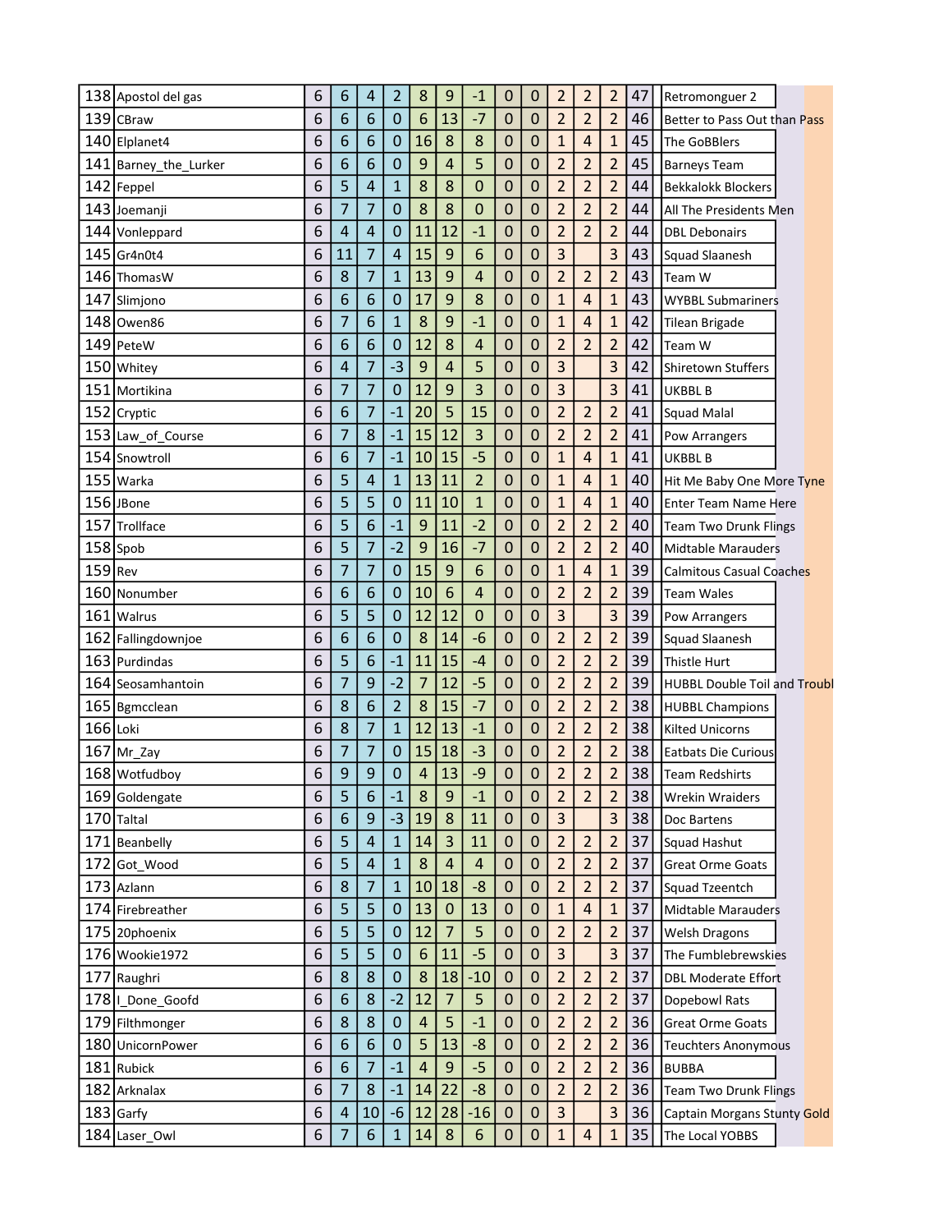| 138 Apostol del gas     | 6 | 6                | 4              | 2              | 8  | 9                       | $-1$                    | 0                | 0                | $\overline{\mathbf{c}}$ | 2              | 2              | 47 | Retromonguer 2                      |
|-------------------------|---|------------------|----------------|----------------|----|-------------------------|-------------------------|------------------|------------------|-------------------------|----------------|----------------|----|-------------------------------------|
| 139 CBraw               | 6 | 6                | 6              | 0              | 6  | 13                      | $-7$                    | $\mathbf 0$      | 0                | $\overline{2}$          | $\overline{2}$ | $\overline{2}$ | 46 | Better to Pass Out than Pass        |
| 140 Elplanet4           | 6 | 6                | 6              | 0              | 16 | 8                       | 8                       | 0                | 0                | $\mathbf{1}$            | 4              | 1              | 45 | The GoBBlers                        |
| 141   Barney_the_Lurker | 6 | 6                | 6              | 0              | 9  | 4                       | 5                       | $\mathbf 0$      | 0                | $\overline{2}$          | $\overline{2}$ | $\overline{2}$ | 45 | <b>Barneys Team</b>                 |
| 142 Feppel              | 6 | 5                | $\overline{4}$ | $\mathbf{1}$   | 8  | 8                       | 0                       | 0                | $\mathbf 0$      | $\overline{2}$          | $\overline{2}$ | $\overline{2}$ | 44 | <b>Bekkalokk Blockers</b>           |
| 143 Joemanji            | 6 | 7                | 7              | 0              | 8  | 8                       | 0                       | 0                | 0                | $\overline{2}$          | $\overline{2}$ | $\overline{2}$ | 44 | All The Presidents Men              |
| 144 Vonleppard          | 6 | $\overline{4}$   | $\overline{4}$ | 0              | 11 | 12                      | $-1$                    | 0                | 0                | $\overline{2}$          | $\overline{2}$ | $\overline{2}$ | 44 | <b>DBL Debonairs</b>                |
| 145 Gr4n0t4             | 6 | 11               | 7              | 4              | 15 | 9                       | 6                       | 0                | 0                | 3                       |                | 3              | 43 | Squad Slaanesh                      |
| 146 ThomasW             | 6 | 8                | 7              | $\mathbf{1}$   | 13 | 9                       | 4                       | 0                | 0                | $\overline{2}$          | $\overline{2}$ | $\overline{2}$ | 43 | Team W                              |
| 147 Slimjono            | 6 | 6                | 6              | 0              | 17 | 9                       | 8                       | 0                | 0                | $\mathbf{1}$            | $\overline{4}$ | $\mathbf{1}$   | 43 | <b>WYBBL Submariners</b>            |
| 148 Owen86              | 6 | 7                | 6              | $\mathbf{1}$   | 8  | 9                       | $-1$                    | 0                | 0                | $\mathbf{1}$            | 4              | $\mathbf{1}$   | 42 | <b>Tilean Brigade</b>               |
| 149 PeteW               | 6 | 6                | 6              | 0              | 12 | 8                       | 4                       | 0                | $\mathbf 0$      | $\overline{2}$          | $\overline{2}$ | $\overline{2}$ | 42 | Team W                              |
| 150 Whitey              | 6 | $\overline{4}$   | 7              | $-3$           | 9  | 4                       | 5                       | 0                | 0                | 3                       |                | 3              | 42 | <b>Shiretown Stuffers</b>           |
| 151 Mortikina           | 6 | 7                | $\overline{7}$ | 0              | 12 | 9                       | 3                       | 0                | 0                | 3                       |                | 3              | 41 | UKBBL B                             |
| 152 Cryptic             | 6 | 6                | $\overline{7}$ | $-1$           | 20 | 5                       | 15                      | 0                | 0                | $\overline{2}$          | $\overline{2}$ | $\overline{2}$ | 41 | <b>Squad Malal</b>                  |
| 153 Law_of_Course       | 6 | 7                | 8              | $-1$           | 15 | 12                      | 3                       | $\mathbf 0$      | 0                | $\overline{2}$          | $\overline{2}$ | $\overline{2}$ | 41 | Pow Arrangers                       |
| 154 Snowtroll           | 6 | 6                | 7              | $-1$           | 10 | 15                      | $-5$                    | 0                | 0                | $\mathbf{1}$            | 4              | $\overline{1}$ | 41 | <b>UKBBL B</b>                      |
| 155 Warka               | 6 | 5                | $\overline{4}$ | $\mathbf{1}$   | 13 | 11                      | $\overline{2}$          | 0                | 0                | $\mathbf{1}$            | $\overline{4}$ | $\mathbf{1}$   | 40 | Hit Me Baby One More Tyne           |
| 156 JBone               | 6 | 5                | 5              | 0              | 11 | 10                      | $\mathbf{1}$            | 0                | $\mathbf 0$      | $\mathbf{1}$            | 4              | $\mathbf{1}$   | 40 | <b>Enter Team Name Here</b>         |
| 157 Trollface           | 6 | 5                | 6              | $-1$           | 9  | 11                      | $-2$                    | 0                | 0                | $\overline{2}$          | $\overline{2}$ | $\overline{c}$ | 40 | <b>Team Two Drunk Flings</b>        |
| 158 Spob                | 6 | 5                | 7              | $-2$           | 9  | 16                      | $-7$                    | 0                | 0                | $\overline{2}$          | 2              | 2              | 40 | <b>Midtable Marauders</b>           |
| $159$ Rev               | 6 | 7                | 7              | 0              | 15 | 9                       | 6                       | 0                | $\mathbf 0$      | $\mathbf{1}$            | $\overline{4}$ | $\mathbf{1}$   | 39 | Calmitous Casual Coaches            |
| 160 Nonumber            | 6 | 6                | 6              | $\mathbf 0$    | 10 | 6                       | 4                       | 0                | 0                | $\overline{2}$          | $\overline{2}$ | $\overline{2}$ | 39 | <b>Team Wales</b>                   |
| 161 Walrus              | 6 | 5                | 5              | $\overline{0}$ | 12 | 12                      | 0                       | 0                | $\mathbf 0$      | 3                       |                | 3              | 39 | Pow Arrangers                       |
| 162 Fallingdownjoe      | 6 | 6                | 6              | 0              | 8  | 14                      | -6                      | 0                | 0                | $\overline{2}$          | $\overline{2}$ | $\overline{2}$ | 39 | <b>Squad Slaanesh</b>               |
| 163 Purdindas           | 6 | 5                | 6              | $-1$           | 11 | 15                      | $-4$                    | 0                | 0                | $\overline{2}$          | $\overline{2}$ | $\overline{2}$ | 39 | Thistle Hurt                        |
| 164 Seosamhantoin       | 6 | 7                | 9              | $-2$           | 7  | 12                      | $-5$                    | 0                | 0                | $\overline{2}$          | 2              | 2              | 39 | <b>HUBBL Double Toil and Troubl</b> |
| 165   Bgmcclean         | 6 | 8                | 6              | $\overline{2}$ | 8  | 15                      | $-7$                    | $\mathbf 0$      | 0                | $\overline{2}$          | $\overline{2}$ | $\overline{2}$ | 38 | <b>HUBBL Champions</b>              |
| 166 Loki                | 6 | 8                | 7              | $\mathbf{1}$   | 12 | 13                      | $-1$                    | 0                | $\mathbf 0$      | $\overline{2}$          | $\overline{2}$ | $\overline{2}$ | 38 | <b>Kilted Unicorns</b>              |
| $167$ Mr_Zay            | 6 | 7                | 7              | 0              | 15 | 18                      | $-3$                    | 0                | 0                | $\overline{2}$          | $\overline{2}$ | $\overline{2}$ | 38 | <b>Eatbats Die Curious</b>          |
| 168 Wotfudboy           | 6 | 9                | 9              | 0              | 4  | 13                      | -9                      | 0                | 0                | $\overline{2}$          | $\overline{2}$ | $\overline{2}$ | 38 | Team Redshirts                      |
| 169 Goldengate          | 6 | 5                | 6              | $-1$           | 8  | 9                       | $-1$                    | 0                | $\mathbf 0$      | $\overline{2}$          | $\overline{2}$ | $\overline{2}$ | 38 | <b>Wrekin Wraiders</b>              |
| 170 Taltal              | 6 | $\boldsymbol{6}$ | 9              | $-3$           | 19 | 8                       | 11                      | $\boldsymbol{0}$ | $\pmb{0}$        | 3                       |                | 3              | 38 | Doc Bartens                         |
| 171 Beanbelly           | 6 | 5                | $\overline{4}$ | $\mathbf{1}$   | 14 | $\overline{\mathbf{3}}$ | 11                      | $\pmb{0}$        | $\boldsymbol{0}$ | $\overline{2}$          | $\overline{2}$ | $\overline{2}$ | 37 | Squad Hashut                        |
| 172 Got Wood            | 6 | 5                | $\overline{4}$ | $\mathbf{1}$   | 8  | $\overline{a}$          | $\overline{\mathbf{4}}$ | $\mathbf 0$      | $\boldsymbol{0}$ | $\overline{2}$          | $\overline{2}$ | $\overline{2}$ | 37 | <b>Great Orme Goats</b>             |
| 173 Azlann              | 6 | 8                | $\overline{7}$ | $\overline{1}$ | 10 | 18                      | $-8$                    | $\mathbf 0$      | $\mathbf 0$      | $\overline{2}$          | $\overline{2}$ | $\overline{c}$ | 37 | Squad Tzeentch                      |
| 174 Firebreather        | 6 | 5                | 5              | $\mathbf 0$    | 13 | 0                       | 13                      | $\boldsymbol{0}$ | $\mathbf 0$      | $\mathbf{1}$            | 4              | $\mathbf{1}$   | 37 | <b>Midtable Marauders</b>           |
| 175 20phoenix           | 6 | 5                | 5              | $\mathbf 0$    | 12 | $\overline{7}$          | 5                       | $\mathbf 0$      | $\mathbf 0$      | $\overline{2}$          | $\overline{2}$ | $\overline{2}$ | 37 | <b>Welsh Dragons</b>                |
| 176 Wookie1972          | 6 | 5                | 5              | $\mathbf 0$    | 6  | 11                      | $-5$                    | $\mathbf 0$      | $\mathbf 0$      | 3                       |                | 3              | 37 | The Fumblebrewskies                 |
| 177<br>Raughri          | 6 | 8                | 8              | $\mathbf 0$    | 8  | 18                      | $-10$                   | $\mathbf 0$      | $\mathbf 0$      | $\overline{2}$          | $\overline{2}$ | $\overline{2}$ | 37 | <b>DBL Moderate Effort</b>          |
| 178<br>I_Done_Goofd     | 6 | 6                | 8              | $-2$           | 12 | $\overline{7}$          | 5                       | $\mathbf 0$      | $\mathbf 0$      | $\overline{2}$          | $\overline{2}$ | $\overline{c}$ | 37 | Dopebowl Rats                       |
| 179 Filthmonger         | 6 | 8                | 8              | $\mathbf 0$    | 4  | 5                       | $-1$                    | $\mathbf 0$      | $\mathbf 0$      | $\overline{2}$          | $\overline{2}$ | $\overline{2}$ | 36 | <b>Great Orme Goats</b>             |
| 180 UnicornPower        | 6 | 6                | 6              | $\mathbf 0$    | 5  | 13                      | $-8$                    | $\mathbf 0$      | $\mathbf 0$      | $\overline{2}$          | $\overline{2}$ | $\overline{2}$ | 36 | <b>Teuchters Anonymous</b>          |
| 181 Rubick              | 6 | 6                | $\overline{7}$ | $-1$           | 4  | $\mathsf 9$             | $-5$                    | $\mathbf 0$      | $\mathbf 0$      | $\overline{2}$          | $\overline{2}$ | $\overline{2}$ | 36 | <b>BUBBA</b>                        |
| 182 Arknalax            | 6 | $\overline{7}$   | 8              | $-1$           | 14 | 22                      | $-8$                    | $\boldsymbol{0}$ | $\mathbf 0$      | $\overline{2}$          | $\overline{2}$ | $\overline{c}$ | 36 | <b>Team Two Drunk Flings</b>        |
| $183$ Garfy             | 6 | $\overline{4}$   | 10             | $-6$           | 12 | 28                      | $-16$                   | $\mathbf 0$      | $\mathbf 0$      | 3                       |                | 3              | 36 | Captain Morgans Stunty Gold         |
| 184 Laser_Owl           | 6 | $\overline{7}$   | $6\,$          | $\mathbf{1}$   | 14 | 8                       | 6                       | $\pmb{0}$        | $\mathbf 0$      | $\mathbf{1}$            | $\overline{4}$ | $\mathbf{1}$   | 35 | The Local YOBBS                     |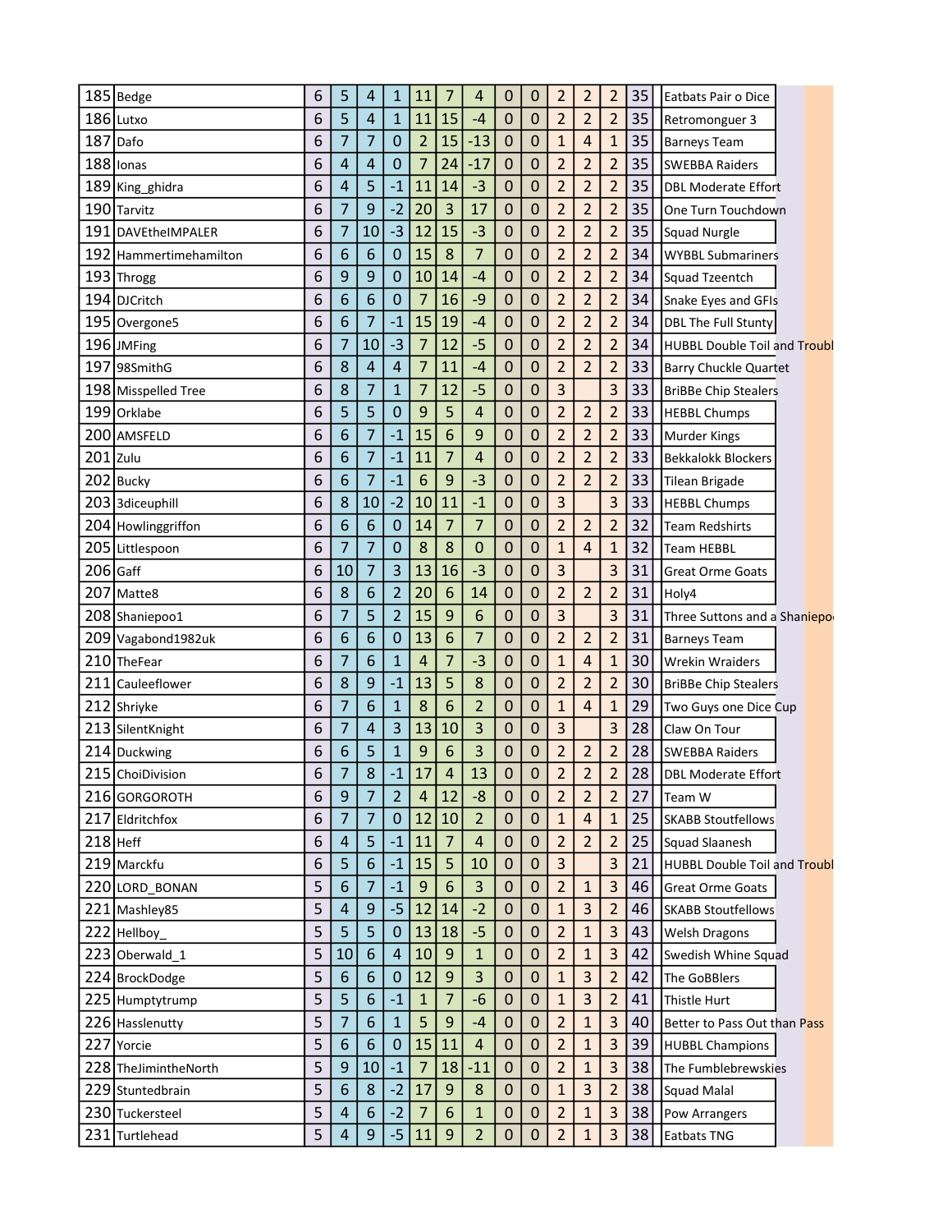| 185 Bedge              | 6 | 5                       | 4              | 1              | 11 | 7              | 4              | 0              | 0                | $\overline{2}$ | $\overline{2}$ | $\overline{2}$ | 35 | Eatbats Pair o Dice                 |
|------------------------|---|-------------------------|----------------|----------------|----|----------------|----------------|----------------|------------------|----------------|----------------|----------------|----|-------------------------------------|
| 186 Lutxo              | 6 | 5                       | $\overline{4}$ | $\mathbf{1}$   | 11 | 15             | $-4$           | 0              | $\mathbf 0$      | $\overline{2}$ | $\overline{2}$ | $\overline{2}$ | 35 | Retromonguer 3                      |
| 187<br>Dafo            | 6 | 7                       | 7              | 0              | 2  | 15             | $-13$          | 0              | 0                | $\mathbf{1}$   | $\overline{4}$ | 1              | 35 | <b>Barneys Team</b>                 |
| 188<br>Ionas           | 6 | $\overline{4}$          | 4              | 0              | 7  | 24             | $-17$          | 0              | 0                | $\overline{2}$ | 2              | $\overline{2}$ | 35 | <b>SWEBBA Raiders</b>               |
| 189 King_ghidra        | 6 | $\overline{4}$          | 5              | $-1$           | 11 | 14             | $-3$           | $\mathbf 0$    | $\mathbf 0$      | $\overline{2}$ | $\overline{2}$ | $\overline{2}$ | 35 | <b>DBL Moderate Effort</b>          |
| 190 Tarvitz            | 6 | 7                       | 9              | $-2$           | 20 | 3              | 17             | 0              | 0                | $\overline{2}$ | $\overline{2}$ | $\overline{2}$ | 35 | One Turn Touchdown                  |
| 191 DAVEtheIMPALER     | 6 | 7                       | 10             | $-3$           | 12 | 15             | $-3$           | 0              | 0                | $\overline{2}$ | $\overline{2}$ | $\overline{2}$ | 35 | Squad Nurgle                        |
| 192 Hammertimehamilton | 6 | 6                       | 6              | 0              | 15 | 8              | 7              | 0              | 0                | $\overline{2}$ | $\overline{2}$ | $\overline{2}$ | 34 | <b>WYBBL Submariners</b>            |
| 193 Throgg             | 6 | 9                       | 9              | 0              | 10 | 14             | $-4$           | 0              | 0                | $\overline{2}$ | $\overline{2}$ | $\overline{a}$ | 34 | Squad Tzeentch                      |
| 194 DJCritch           | 6 | 6                       | 6              | 0              | 7  | 16             | -9             | 0              | 0                | $\overline{2}$ | 2              | 2              | 34 | Snake Eyes and GFIs                 |
| 195 Overgone5          | 6 | 6                       | 7              | $-1$           | 15 | 19             | $-4$           | $\mathbf 0$    | 0                | $\overline{2}$ | $\overline{2}$ | $\overline{2}$ | 34 | <b>DBL The Full Stunty</b>          |
| 196 JMFing             | 6 | 7                       | 10             | $-3$           | 7  | 12             | $-5$           | 0              | $\mathbf 0$      | $\overline{2}$ | $\overline{2}$ | $\overline{2}$ | 34 | <b>HUBBL Double Toil and Troubl</b> |
| 197 98SmithG           | 6 | 8                       | 4              | 4              | 7  | 11             | $-4$           | 0              | 0                | $\overline{2}$ | $\overline{2}$ | $\overline{2}$ | 33 | <b>Barry Chuckle Quartet</b>        |
| 198 Misspelled Tree    | 6 | 8                       | 7              | $\mathbf{1}$   | 7  | 12             | $-5$           | 0              | $\mathbf 0$      | 3              |                | 3              | 33 | <b>BriBBe Chip Stealers</b>         |
| 199 Orklabe            | 6 | 5                       | 5              | 0              | 9  | 5              | 4              | 0              | 0                | $\overline{2}$ | $\overline{2}$ | $\overline{2}$ | 33 | <b>HEBBL Chumps</b>                 |
| 200 AMSFELD            | 6 | 6                       | 7              | $-1$           | 15 | 6              | 9              | 0              | 0                | $\overline{2}$ | $\overline{2}$ | $\overline{2}$ | 33 | <b>Murder Kings</b>                 |
| 201 Zulu               | 6 | 6                       | 7              | $-1$           | 11 | $\overline{7}$ | 4              | 0              | $\mathbf 0$      | $\overline{2}$ | $\overline{2}$ | $\overline{2}$ | 33 | <b>Bekkalokk Blockers</b>           |
| 202 Bucky              | 6 | 6                       | 7              | $-1$           | 6  | 9              | $-3$           | 0              | 0                | $\overline{2}$ | $\overline{2}$ | $\overline{2}$ | 33 | Tilean Brigade                      |
| 203 3diceuphill        | 6 | 8                       | 10             | $-2$           | 10 | 11             | $-1$           | 0              | $\mathbf 0$      | 3              |                | 3              | 33 | <b>HEBBL Chumps</b>                 |
| 204 Howlinggriffon     | 6 | 6                       | 6              | 0              | 14 | 7              | 7              | 0              | 0                | $\overline{2}$ | $\overline{2}$ | $\overline{2}$ | 32 | <b>Team Redshirts</b>               |
| 205 Littlespoon        | 6 | $\overline{7}$          | $\overline{7}$ | $\overline{0}$ | 8  | 8              | 0              | 0              | 0                | $\mathbf{1}$   | $\overline{4}$ | $\mathbf{1}$   | 32 | <b>Team HEBBL</b>                   |
| $206$ Gaff             | 6 | 10                      | 7              | 3              | 13 | 16             | $-3$           | 0              | 0                | 3              |                | 3              | 31 | <b>Great Orme Goats</b>             |
| 207<br>Matte8          | 6 | 8                       | 6              | $\overline{2}$ | 20 | 6              | 14             | $\mathbf 0$    | 0                | $\overline{2}$ | $\overline{2}$ | $\overline{2}$ | 31 | Holy4                               |
| 208 Shaniepoo1         | 6 | 7                       | 5              | $\overline{2}$ | 15 | 9              | 6              | 0              | 0                | 3              |                | 3              | 31 | Three Suttons and a Shaniepor       |
| 209 Vagabond1982uk     | 6 | 6                       | 6              | $\mathbf 0$    | 13 | 6              | 7              | 0              | 0                | $\overline{2}$ | $\overline{2}$ | $\overline{2}$ | 31 | <b>Barneys Team</b>                 |
| 210 The Fear           | 6 | 7                       | 6              | $\overline{1}$ | 4  | 7              | $-3$           | 0              | $\mathbf 0$      | $\mathbf{1}$   | 4              | $\mathbf{1}$   | 30 | <b>Wrekin Wraiders</b>              |
| 211 Cauleeflower       | 6 | 8                       | 9              | $-1$           | 13 | 5              | 8              | 0              | 0                | $\overline{2}$ | $\overline{2}$ | $\overline{2}$ | 30 | <b>BriBBe Chip Stealers</b>         |
| 212 Shriyke            | 6 | 7                       | 6              | $\mathbf{1}$   | 8  | 6              | $\overline{2}$ | 0              | 0                | $\mathbf{1}$   | 4              | $\mathbf{1}$   | 29 | Two Guys one Dice Cup               |
| 213 SilentKnight       | 6 | 7                       | 4              | 3              | 13 | 10             | 3              | 0              | 0                | 3              |                | 3              | 28 | Claw On Tour                        |
| 214 Duckwing           | 6 | 6                       | 5              | $\mathbf{1}$   | 9  | 6              | 3              | 0              | 0                | $\overline{2}$ | $\overline{2}$ | $\overline{2}$ | 28 | <b>SWEBBA Raiders</b>               |
| 215 ChoiDivision       | 6 | 7                       | 8              | $-1$           | 17 | 4              | 13             | $\overline{0}$ | 0                | $\overline{2}$ | $\overline{2}$ | $\overline{2}$ | 28 | DBL Moderate Effort                 |
| 216 GORGOROTH          | 6 | 9                       | $\overline{7}$ | 2              | 4  | 12             | $-8$           | 0              | $\mathbf 0$      | $\overline{2}$ | $\overline{2}$ | $\overline{2}$ | 27 | Team W                              |
| 217 Eldritchfox        | 6 | $\overline{7}$          | $\overline{7}$ | $\mathbf 0$    | 12 | 10             | $\overline{2}$ | $\mathbf 0$    | $\mathbf 0$      | $\mathbf{1}$   | 4              | $\mathbf{1}$   | 25 | <b>SKABB Stoutfellows</b>           |
| $218$ Heff             | 6 | 4                       | 5              | $-1$           | 11 | $\overline{7}$ | $\overline{a}$ | 0              | $\boldsymbol{0}$ | $\overline{2}$ | $\overline{2}$ | $\overline{2}$ | 25 | Squad Slaanesh                      |
| 219 Marckfu            | 6 | 5                       | 6              | $-1$           | 15 | 5              | 10             | $\mathbf 0$    | $\mathbf 0$      | 3              |                | 3              | 21 | HUBBL Double Toil and Troubl        |
| 220 LORD_BONAN         | 5 | 6                       | $\overline{7}$ | $-1$           | 9  | 6              | 3              | $\mathbf 0$    | $\mathbf 0$      | $\overline{2}$ | $\mathbf{1}$   | 3              | 46 | <b>Great Orme Goats</b>             |
| 221 Mashley85          | 5 | 4                       | 9              | $-5$           | 12 | 14             | $-2$           | $\mathbf 0$    | $\boldsymbol{0}$ | $\mathbf{1}$   | 3              | $\overline{2}$ | 46 | <b>SKABB Stoutfellows</b>           |
| 222 Hellboy_           | 5 | 5                       | 5              | $\mathbf 0$    | 13 | 18             | $-5$           | $\mathbf 0$    | $\mathbf 0$      | $\overline{2}$ | $\mathbf{1}$   | 3              | 43 | <b>Welsh Dragons</b>                |
| 223 Oberwald_1         | 5 | 10                      | 6              | $\overline{4}$ | 10 | 9              | $\mathbf{1}$   | 0              | $\boldsymbol{0}$ | $\overline{2}$ | 1              | 3              | 42 | Swedish Whine Squad                 |
| 224 BrockDodge         | 5 | 6                       | 6              | $\mathbf 0$    | 12 | 9              | 3              | $\bf 0$        | $\mathbf 0$      | $\mathbf{1}$   | 3              | $\overline{2}$ | 42 | The GoBBlers                        |
| 225 Humptytrump        | 5 | 5                       | 6              | $-1$           | 1  | $\overline{7}$ | -6             | $\mathbf 0$    | $\mathbf 0$      | $\mathbf{1}$   | 3              | $\overline{2}$ | 41 | Thistle Hurt                        |
| 226 Hasslenutty        | 5 | $\overline{7}$          | 6              | $\mathbf{1}$   | 5  | 9              | $-4$           | $\mathbf 0$    | $\mathbf 0$      | $\overline{2}$ | $\mathbf{1}$   | 3              | 40 | Better to Pass Out than Pass        |
| 227 Yorcie             | 5 | 6                       | 6              | $\mathbf 0$    | 15 | 11             | $\overline{4}$ | $\mathbf 0$    | $\mathbf 0$      | $\overline{2}$ | $\mathbf{1}$   | 3              | 39 | <b>HUBBL Champions</b>              |
| 228 TheJimintheNorth   | 5 | 9                       | 10             | $-1$           | 7  | 18             | $-11$          | $\mathbf 0$    | $\mathbf 0$      | $\overline{2}$ | 1              | 3              | 38 | The Fumblebrewskies                 |
| 229 Stuntedbrain       | 5 | 6                       | 8              | $-2$           | 17 | 9              | 8              | $\mathbf 0$    | $\mathbf 0$      | $\mathbf{1}$   | 3              | $\overline{2}$ | 38 | Squad Malal                         |
| 230 Tuckersteel        | 5 | 4                       | 6              | $-2$           | 7  | 6              | $\mathbf{1}$   | 0              | $\mathbf 0$      | $\overline{2}$ | $\mathbf{1}$   | 3              | 38 | Pow Arrangers                       |
| 231 Turtlehead         | 5 | $\overline{\mathbf{r}}$ | 9              | $-5$           | 11 | 9              | $\overline{2}$ | $\pmb{0}$      | 0                | $\overline{2}$ | $\mathbf{1}$   | 3              | 38 | <b>Eatbats TNG</b>                  |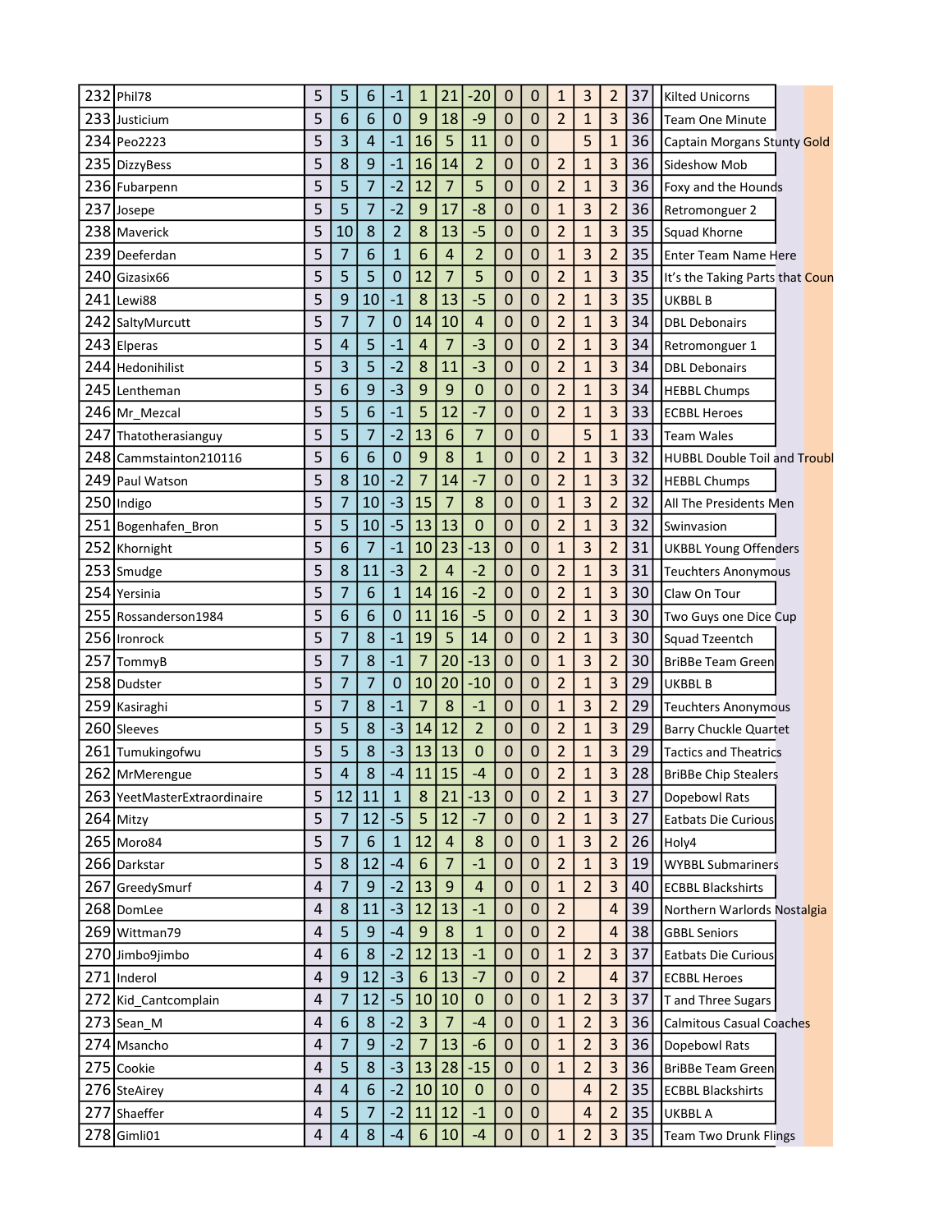|     | 232 Phil78                   | 5 | 5              | 6                | $-1$           | 1               | 21             | $-20$          | 0 | 0              | 1              | 3              | 2              | 37 | Kilted Unicorns                     |
|-----|------------------------------|---|----------------|------------------|----------------|-----------------|----------------|----------------|---|----------------|----------------|----------------|----------------|----|-------------------------------------|
|     | 233 Justicium                | 5 | 6              | 6                | $\mathbf 0$    | 9               | 18             | -9             | 0 | 0              | $\overline{2}$ | $\mathbf{1}$   | 3              | 36 | <b>Team One Minute</b>              |
|     | 234 Peo2223                  | 5 | 3              | 4                | $-1$           | 16              | 5              | 11             | 0 | 0              |                | 5              | $\mathbf{1}$   | 36 | Captain Morgans Stunty Gold         |
|     | 235 DizzyBess                | 5 | 8              | 9                | $-1$           | 16              | 14             | $\overline{2}$ | 0 | 0              | $\overline{2}$ | $\mathbf{1}$   | 3              | 36 | Sideshow Mob                        |
|     | 236 Fubarpenn                | 5 | 5              | $\overline{7}$   | $-2$           | 12              | $\overline{7}$ | 5              | 0 | 0              | $\overline{2}$ | $\mathbf{1}$   | 3              | 36 | Foxy and the Hounds                 |
|     | 237 Josepe                   | 5 | 5              | $\overline{7}$   | $-2$           | 9               | 17             | $-8$           | 0 | 0              | 1              | 3              | $\overline{2}$ | 36 | Retromonguer 2                      |
|     | 238 Maverick                 | 5 | 10             | 8                | $\overline{2}$ | 8               | 13             | $-5$           | 0 | 0              | $\overline{2}$ | $\mathbf{1}$   | 3              | 35 | Squad Khorne                        |
| 239 | Deeferdan                    | 5 | 7              | 6                | 1              | 6               | $\overline{a}$ | $\overline{2}$ | 0 | 0              | 1              | 3              | $\overline{2}$ | 35 | <b>Enter Team Name Here</b>         |
| 240 | Gizasix66                    | 5 | 5              | 5                | 0              | 12              | $\overline{7}$ | 5              | 0 | 0              | $\overline{2}$ | $\mathbf{1}$   | 3              | 35 | It's the Taking Parts that Coun     |
|     | 241 Lewi88                   | 5 | 9              | 10               | $-1$           | 8               | 13             | $-5$           | 0 | 0              | $\overline{2}$ | $\mathbf{1}$   | 3              | 35 | <b>UKBBL B</b>                      |
|     | 242 SaltyMurcutt             | 5 | 7              | $\overline{7}$   | 0              | 14              | 10             | 4              | 0 | 0              | $\overline{2}$ | $\mathbf{1}$   | 3              | 34 | <b>DBL Debonairs</b>                |
|     | 243 Elperas                  | 5 | 4              | 5                | $-1$           | $\overline{4}$  | $\overline{7}$ | $-3$           | 0 | 0              | $\overline{2}$ | 1              | 3              | 34 | Retromonguer 1                      |
| 244 | Hedonihilist                 | 5 | 3              | 5                | $-2$           | 8               | 11             | $-3$           | 0 | 0              | $\overline{2}$ | $\mathbf{1}$   | 3              | 34 | <b>DBL Debonairs</b>                |
|     | 245 Lentheman                | 5 | 6              | 9                | $-3$           | 9               | 9              | 0              | 0 | 0              | $\overline{2}$ | $\mathbf{1}$   | 3              | 34 | <b>HEBBL Chumps</b>                 |
|     | 246 Mr_Mezcal                | 5 | 5              | 6                | $-1$           | 5               | 12             | $-7$           | 0 | 0              | $\overline{2}$ | 1              | 3              | 33 | <b>ECBBL Heroes</b>                 |
| 247 | Thatotherasianguy            | 5 | 5              | $\overline{7}$   | $-2$           | 13              | 6              | $\overline{7}$ | 0 | 0              |                | 5              | $\mathbf{1}$   | 33 | Team Wales                          |
|     | 248 Cammstainton210116       | 5 | 6              | 6                | 0              | 9               | 8              | $\overline{1}$ | 0 | $\overline{0}$ | $\overline{2}$ | $\mathbf{1}$   | 3              | 32 | <b>HUBBL Double Toil and Troubl</b> |
|     | 249 Paul Watson              | 5 | 8              | 10               | $-2$           | 7               | 14             | $-7$           | 0 | 0              | $\overline{2}$ | $\mathbf{1}$   | 3              | 32 | <b>HEBBL Chumps</b>                 |
|     | 250 Indigo                   | 5 | 7              | 10               | $-3$           | 15              | $\overline{7}$ | 8              | 0 | 0              | $\mathbf{1}$   | 3              | $\overline{2}$ | 32 | All The Presidents Men              |
|     | 251 Bogenhafen_Bron          | 5 | 5              | 10               | $-5$           | 13              | 13             | 0              | 0 | 0              | $\overline{2}$ | $\mathbf{1}$   | 3              | 32 | Swinvasion                          |
|     | 252 Khornight                | 5 | 6              | $\overline{7}$   | $-1$           | 10              | 23             | $-13$          | 0 | 0              | 1              | 3              | $\overline{2}$ | 31 | <b>UKBBL Young Offenders</b>        |
|     | 253 Smudge                   | 5 | 8              | 11               | $-3$           | $\overline{2}$  | $\overline{4}$ | $-2$           | 0 | 0              | $\overline{2}$ | $\mathbf{1}$   | 3              | 31 | <b>Teuchters Anonymous</b>          |
|     | 254 Yersinia                 | 5 | 7              | 6                | 1              | 14              | 16             | $-2$           | 0 | 0              | $\overline{2}$ | $\mathbf{1}$   | 3              | 30 | Claw On Tour                        |
|     | 255 Rossanderson1984         | 5 | 6              | 6                | $\overline{0}$ | 11              | 16             | $-5$           | 0 | 0              | $\overline{2}$ | $\mathbf{1}$   | 3              | 30 | Two Guys one Dice Cup               |
|     | 256 Ironrock                 | 5 | 7              | 8                | $-1$           | 19              | 5              | 14             | 0 | 0              | $\overline{2}$ | $\mathbf{1}$   | 3              | 30 | <b>Squad Tzeentch</b>               |
|     | 257 TommyB                   | 5 | 7              | 8                | $-1$           | $\overline{7}$  | 20             | $-13$          | 0 | 0              | $\mathbf{1}$   | 3              | $\overline{2}$ | 30 | <b>BriBBe Team Green</b>            |
| 258 | Dudster                      | 5 | 7              | 7                | 0              | 10              | 20             | $-10$          | 0 | 0              | $\overline{2}$ | $\mathbf{1}$   | 3              | 29 | UKBBL B                             |
|     | 259 Kasiraghi                | 5 | $\overline{7}$ | 8                | $-1$           | $\overline{7}$  | 8              | $-1$           | 0 | 0              | 1              | 3              | $\overline{2}$ | 29 | <b>Teuchters Anonymous</b>          |
|     | 260 Sleeves                  | 5 | 5              | 8                | $-3$           | 14              | 12             | $\overline{2}$ | 0 | 0              | $\overline{2}$ | $\mathbf{1}$   | 3              | 29 | <b>Barry Chuckle Quartet</b>        |
|     | 261 Tumukingofwu             | 5 | 5              | 8                | $-3$           | 13              | 13             | 0              | 0 | 0              | $\overline{2}$ | $\mathbf{1}$   | 3              | 29 | <b>Tactics and Theatrics</b>        |
|     | 262 MrMerengue               | 5 | 4              | 8                | $-4$           | 11              | 15             | $-4$           | 0 | $\overline{0}$ | $\overline{2}$ | $\mathbf{1}$   | 3              | 28 | <b>BriBBe Chip Stealers</b>         |
|     | 263 YeetMasterExtraordinaire | 5 | 12             | 11               | $\mathbf{1}$   | 8               | 21             | $-13$          | 0 | $\mathbf 0$    | $\overline{2}$ | 1              | 3              | 27 | Dopebowl Rats                       |
|     | $264$ Mitzy                  | 5 | $\overline{7}$ | 12               | $-5$           | 5               | 12             | $-7$           | 0 | $\pmb{0}$      | $\overline{2}$ | $\mathbf{1}$   | 3              | 27 | <b>Eatbats Die Curious</b>          |
|     | 265 Moro84                   | 5 | 7              | $\boldsymbol{6}$ | $\mathbf 1$    | 12              | $\overline{4}$ | 8              | 0 | $\pmb{0}$      | $\mathbf{1}$   | $\overline{3}$ | $\overline{2}$ | 26 | Holy4                               |
|     | 266 Darkstar                 | 5 | 8              | 12               | $-4$           | $6\phantom{1}6$ | $\overline{7}$ | $-1$           | 0 | 0              | $\overline{2}$ | 1              | 3              | 19 | <b>WYBBL Submariners</b>            |
|     | 267 GreedySmurf              | 4 | 7              | 9                | $-2$           | 13              | $9$            | $\overline{4}$ | 0 | $\mathbf 0$    | $\mathbf{1}$   | $\overline{2}$ | 3              | 40 | <b>ECBBL Blackshirts</b>            |
|     | 268 DomLee                   | 4 | 8              | 11               | $-3$           | 12              | 13             | $-1$           | 0 | 0              | $\overline{2}$ |                | $\overline{a}$ | 39 | Northern Warlords Nostalgia         |
|     | 269 Wittman79                | 4 | 5              | 9                | $-4$           | 9               | 8              | $\mathbf{1}$   | 0 | 0              | $\overline{2}$ |                | $\overline{a}$ | 38 | <b>GBBL Seniors</b>                 |
|     | 270 Jimbo9jimbo              | 4 | 6              | 8                | $-2$           | 12              | 13             | $-1$           | 0 | 0              | $\mathbf{1}$   | $\overline{2}$ | 3              | 37 | <b>Eatbats Die Curious</b>          |
|     | 271 Inderol                  | 4 | 9              | 12               | $-3$           | $6\phantom{1}6$ | 13             | $-7$           | 0 | $\mathbf 0$    | $\overline{2}$ |                | $\overline{a}$ | 37 | <b>ECBBL Heroes</b>                 |
|     | 272 Kid Cantcomplain         | 4 | 7              | 12               | $-5$           | 10              | 10             | $\pmb{0}$      | 0 | $\mathbf 0$    | $\mathbf{1}$   | $\overline{2}$ | 3              | 37 | T and Three Sugars                  |
|     | 273 Sean_M                   | 4 | 6              | 8                | $-2$           | $\overline{3}$  | $\overline{7}$ | $-4$           | 0 | 0              | $\mathbf{1}$   | $\overline{2}$ | 3              | 36 | Calmitous Casual Coaches            |
|     | 274 Msancho                  | 4 | 7              | 9                | $-2$           | $\overline{7}$  | 13             | $-6$           | 0 | 0              | $\mathbf{1}$   | $\overline{2}$ | 3              | 36 | Dopebowl Rats                       |
|     | 275 Cookie                   | 4 | 5              | 8                | $-3$           | 13              | 28             | $-15$          | 0 | 0              | $\mathbf{1}$   | $\overline{2}$ | 3              | 36 | BriBBe Team Green                   |
|     | 276 SteAirey                 | 4 | 4              | 6                | $-2$           | 10              | 10             | $\pmb{0}$      | 0 | 0              |                | 4              | $\overline{2}$ | 35 | <b>ECBBL Blackshirts</b>            |
|     | 277 Shaeffer                 | 4 | 5              | 7                | $-2$           | 11              | 12             | $-1$           | 0 | 0              |                | 4              | $\overline{2}$ | 35 | UKBBL A                             |
|     | 278 Gimli01                  | 4 | 4              | 8                | $-4$           | $6\phantom{1}6$ | 10             | $-4$           | 0 | $\pmb{0}$      | $\mathbf{1}$   | $\overline{2}$ | 3              | 35 | <b>Team Two Drunk Flings</b>        |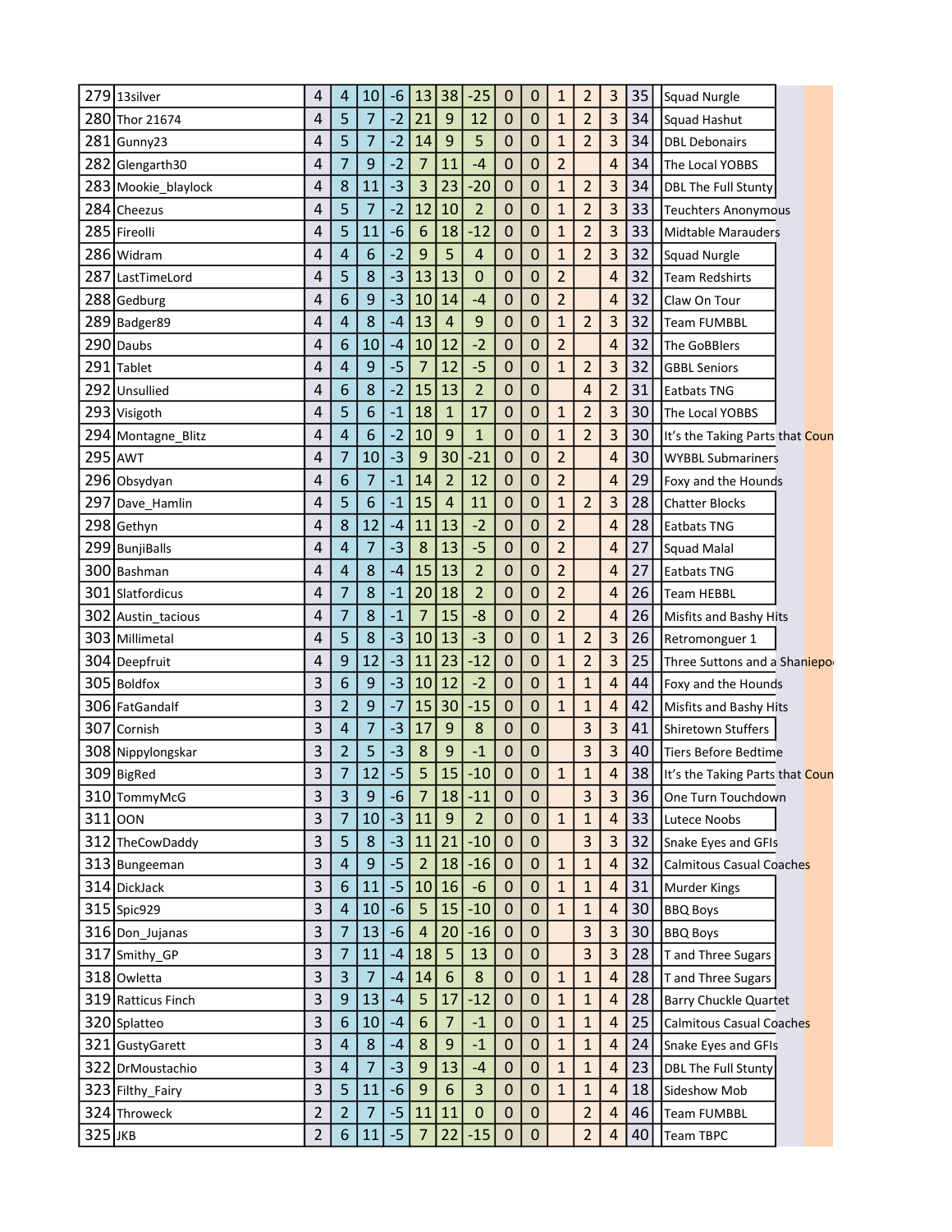| 279     | 13silver            | 4 | 4              | 10               | $-6$ | 13              | 38             | $-25$          | 0           | 0              | 1              | 2              | 3                       | 35 | <b>Squad Nurgle</b>             |
|---------|---------------------|---|----------------|------------------|------|-----------------|----------------|----------------|-------------|----------------|----------------|----------------|-------------------------|----|---------------------------------|
|         | 280 Thor 21674      | 4 | 5              | $\overline{7}$   | $-2$ | 21              | 9              | 12             | 0           | 0              | $\mathbf{1}$   | $\overline{2}$ | 3                       | 34 | Squad Hashut                    |
|         | 281 Gunny23         | 4 | 5              | 7                | $-2$ | 14              | 9              | 5              | 0           | 0              | 1              | $\overline{2}$ | 3                       | 34 | <b>DBL Debonairs</b>            |
|         | 282 Glengarth30     | 4 | $\overline{7}$ | 9                | $-2$ | 7               | 11             | $-4$           | 0           | 0              | $\overline{2}$ |                | $\overline{4}$          | 34 | The Local YOBBS                 |
|         | 283 Mookie_blaylock | 4 | 8              | 11               | $-3$ | 3               | 23             | $-20$          | 0           | 0              | $\mathbf{1}$   | $\overline{2}$ | 3                       | 34 | <b>DBL The Full Stunty</b>      |
|         | 284 Cheezus         | 4 | 5              | $\overline{7}$   | $-2$ | 12              | 10             | $\overline{2}$ | 0           | 0              | $\mathbf{1}$   | $\overline{2}$ | 3                       | 33 | Teuchters Anonymous             |
|         | 285 Fireolli        | 4 | 5              | 11               | $-6$ | 6               | 18             | $-12$          | 0           | 0              | $\mathbf{1}$   | $\overline{2}$ | 3                       | 33 | <b>Midtable Marauders</b>       |
|         | 286 Widram          | 4 | 4              | 6                | $-2$ | 9               | 5              | 4              | 0           | 0              | 1              | $\overline{2}$ | 3                       | 32 | <b>Squad Nurgle</b>             |
| 287     | LastTimeLord        | 4 | 5              | 8                | $-3$ | 13              | 13             | 0              | 0           | 0              | $\overline{2}$ |                | 4                       | 32 | <b>Team Redshirts</b>           |
|         | 288 Gedburg         | 4 | 6              | 9                | $-3$ | 10              | 14             | $-4$           | 0           | 0              | $\overline{2}$ |                | 4                       | 32 | Claw On Tour                    |
|         | 289 Badger89        | 4 | 4              | 8                | $-4$ | 13              | $\overline{a}$ | $9$            | 0           | 0              | $\mathbf{1}$   | $\overline{2}$ | 3                       | 32 | Team FUMBBL                     |
| 290     | Daubs               | 4 | 6              | 10               | $-4$ | 10              | 12             | $-2$           | 0           | 0              | $\overline{2}$ |                | 4                       | 32 | The GoBBlers                    |
|         | 291 Tablet          | 4 | 4              | 9                | $-5$ | 7               | 12             | $-5$           | 0           | 0              | $\mathbf{1}$   | $\overline{2}$ | 3                       | 32 | <b>GBBL Seniors</b>             |
|         | 292 Unsullied       | 4 | 6              | 8                | $-2$ | 15              | 13             | $\overline{2}$ | 0           | 0              |                | $\overline{4}$ | $\overline{2}$          | 31 | <b>Eatbats TNG</b>              |
|         | 293 Visigoth        | 4 | 5              | 6                | $-1$ | 18              | $\mathbf{1}$   | 17             | 0           | 0              | 1              | $\overline{2}$ | 3                       | 30 | The Local YOBBS                 |
|         | 294 Montagne_Blitz  | 4 | 4              | 6                | $-2$ | 10              | 9              | $\mathbf{1}$   | 0           | 0              | 1              | $\overline{2}$ | 3                       | 30 | It's the Taking Parts that Coun |
|         | 295 AWT             | 4 | 7              | 10               | $-3$ | 9               | 30             | $-21$          | 0           | $\overline{0}$ | $\overline{2}$ |                | 4                       | 30 | <b>WYBBL Submariners</b>        |
|         | 296 Obsydyan        | 4 | 6              | $\overline{7}$   | $-1$ | 14              | $\overline{2}$ | 12             | 0           | 0              | $\overline{2}$ |                | 4                       | 29 | Foxy and the Hounds             |
|         | 297 Dave_Hamlin     | 4 | 5              | 6                | $-1$ | 15              | 4              | 11             | 0           | 0              | 1              | $\overline{2}$ | 3                       | 28 | <b>Chatter Blocks</b>           |
|         | 298 Gethyn          | 4 | 8              | 12               | $-4$ | 11              | 13             | $-2$           | 0           | 0              | $\overline{2}$ |                | 4                       | 28 | Eatbats TNG                     |
|         | 299 BunjiBalls      | 4 | 4              | $\overline{7}$   | $-3$ | 8               | 13             | $-5$           | 0           | 0              | $\overline{2}$ |                | 4                       | 27 | Squad Malal                     |
| 300     | Bashman             | 4 | 4              | 8                | -4   | 15              | 13             | $\overline{2}$ | 0           | 0              | $\overline{2}$ |                | 4                       | 27 | Eatbats TNG                     |
|         | 301 Slatfordicus    | 4 | 7              | 8                | $-1$ | 20              | 18             | $\overline{2}$ | 0           | 0              | $\overline{2}$ |                | 4                       | 26 | Team HEBBL                      |
|         | 302 Austin_tacious  | 4 | 7              | 8                | $-1$ | $\overline{7}$  | 15             | $-8$           | 0           | 0              | $\overline{2}$ |                | 4                       | 26 | Misfits and Bashy Hits          |
|         | 303 Millimetal      | 4 | 5              | 8                | $-3$ | 10              | 13             | $-3$           | 0           | 0              | $\mathbf{1}$   | $\overline{2}$ | 3                       | 26 | Retromonguer 1                  |
|         | 304 Deepfruit       | 4 | 9              | 12               | $-3$ | 11              | 23             | $-12$          | 0           | 0              | $\mathbf{1}$   | $\overline{2}$ | 3                       | 25 | Three Suttons and a Shaniepor   |
|         | 305 Boldfox         | 3 | 6              | 9                | $-3$ | 10              | 12             | $-2$           | 0           | 0              | $\mathbf{1}$   | $\mathbf{1}$   | 4                       | 44 | Foxy and the Hounds             |
|         | 306 FatGandalf      | 3 | 2              | 9                | $-7$ | 15              | 30             | $-15$          | 0           | 0              | $\mathbf{1}$   | 1              | 4                       | 42 | Misfits and Bashy Hits          |
|         | 307 Cornish         | 3 | 4              | $\overline{7}$   | $-3$ | 17              | $\overline{9}$ | 8              | 0           | $\mathbf 0$    |                | 3              | 3                       | 41 | Shiretown Stuffers              |
|         | 308 Nippylongskar   | 3 | $\overline{2}$ | 5                | $-3$ | 8               | 9              | $-1$           | 0           | 0              |                | 3              | 3                       | 40 | <b>Tiers Before Bedtime</b>     |
|         | 309 BigRed          | 3 | 7              | 12               | $-5$ | 5               | 15             | $-10$          | 0           | 0              | 1              | $\mathbf{1}$   | 4                       | 38 | It's the Taking Parts that Coun |
|         | 310 TommyMcG        | 3 | 3              | $9\,$            | -6   | 7               | 18             | $-11$          | 0           | 0              |                | 3              | 3                       | 36 | One Turn Touchdown              |
|         | $311 $ OON          | 3 | $\overline{7}$ | 10               | $-3$ | 11              | $9$            | $\overline{2}$ | $\mathbf 0$ | $\pmb{0}$      | $\mathbf{1}$   | $\mathbf{1}$   | $\overline{4}$          | 33 | Lutece Noobs                    |
|         | 312 TheCowDaddy     | 3 | 5              | $\bf 8$          | $-3$ | 11              | 21             | $-10$          | 0           | $\pmb{0}$      |                | 3              | $\overline{\mathbf{3}}$ | 32 | Snake Eyes and GFIs             |
|         | 313 Bungeeman       | 3 | 4              | $\boldsymbol{9}$ | $-5$ | $\overline{2}$  | 18             | $-16$          | 0           | $\pmb{0}$      | $\mathbf{1}$   | $\mathbf{1}$   | $\overline{a}$          | 32 | Calmitous Casual Coaches        |
|         | 314 DickJack        | 3 | 6              | 11               | $-5$ | 10              | 16             | $-6$           | 0           | $\mathbf 0$    | $\mathbf{1}$   | $\mathbf{1}$   | $\overline{4}$          | 31 | <b>Murder Kings</b>             |
|         | 315 Spic929         | 3 | 4              | 10               | $-6$ | 5               | 15             | $-10$          | 0           | 0              | $\mathbf{1}$   | 1              | $\overline{a}$          | 30 | <b>BBQ Boys</b>                 |
|         | 316 Don_Jujanas     | 3 | 7              | 13               | $-6$ | $\overline{4}$  | 20             | $-16$          | $\mathbf 0$ | $\mathbf 0$    |                | 3              | 3                       | 30 | <b>BBQ Boys</b>                 |
|         | 317 Smithy_GP       | 3 | 7              | 11               | $-4$ | 18              | 5              | 13             | 0           | $\pmb{0}$      |                | 3              | 3                       | 28 | T and Three Sugars              |
|         | 318 Owletta         | 3 | 3              | $\overline{7}$   | $-4$ | 14              | 6              | 8              | 0           | $\mathbf 0$    | $\mathbf{1}$   | 1              | $\overline{\mathbf{r}}$ | 28 | T and Three Sugars              |
|         | 319 Ratticus Finch  | 3 | 9              | 13               | $-4$ | 5               | 17             | $-12$          | 0           | $\mathbf 0$    | $\mathbf{1}$   | $\mathbf{1}$   | $\overline{4}$          | 28 | <b>Barry Chuckle Quartet</b>    |
|         | 320 Splatteo        | 3 | 6              | 10               | $-4$ | $6\phantom{1}6$ | $\overline{7}$ | $-1$           | 0           | $\mathbf 0$    | $\mathbf{1}$   | $\mathbf{1}$   | $\overline{4}$          | 25 | Calmitous Casual Coaches        |
|         | 321 GustyGarett     | 3 | 4              | 8                | $-4$ | 8               | 9              | $-1$           | $\mathbf 0$ | $\mathbf 0$    | $\mathbf{1}$   | $\mathbf{1}$   | $\overline{4}$          | 24 | Snake Eyes and GFIs             |
|         | 322 DrMoustachio    | 3 | 4              | $\overline{7}$   | $-3$ | 9               | 13             | $-4$           | 0           | $\mathbf 0$    | 1              | 1              | $\overline{a}$          | 23 | <b>DBL The Full Stunty</b>      |
|         | 323 Filthy_Fairy    | 3 | 5              | 11               | $-6$ | 9               | 6              | 3              | $\mathbf 0$ | $\mathbf 0$    | $\mathbf{1}$   | $\mathbf{1}$   | $\overline{\mathbf{4}}$ | 18 | Sideshow Mob                    |
|         | 324 Throweck        | 2 | 2              | $\overline{7}$   | $-5$ | 11              | 11             | $\pmb{0}$      | 0           | 0              |                | $\overline{2}$ | $\overline{\mathbf{r}}$ | 46 | Team FUMBBL                     |
| 325 Јкв |                     | 2 | 6              | 11               | $-5$ | $\overline{7}$  | 22             | $-15$          | 0           | $\pmb{0}$      |                | $\overline{2}$ | $\overline{\mathbf{r}}$ | 40 | <b>Team TBPC</b>                |